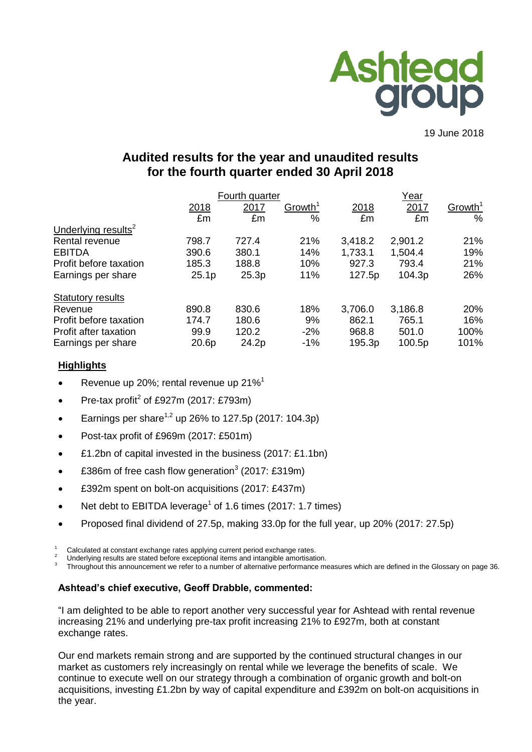

19 June 2018

# **Audited results for the year and unaudited results for the fourth quarter ended 30 April 2018**

|                                 |                   | Fourth quarter |                     |         | Year    |                     |  |  |
|---------------------------------|-------------------|----------------|---------------------|---------|---------|---------------------|--|--|
|                                 | 2018              | 2017           | Growth <sup>1</sup> | 2018    | 2017    | Growth <sup>1</sup> |  |  |
|                                 | £m                | £m             | $\%$                | £m      | £m      | $\%$                |  |  |
| Underlying results <sup>2</sup> |                   |                |                     |         |         |                     |  |  |
| Rental revenue                  | 798.7             | 727.4          | 21%                 | 3,418.2 | 2,901.2 | 21%                 |  |  |
| <b>EBITDA</b>                   | 390.6             | 380.1          | 14%                 | 1,733.1 | 1,504.4 | 19%                 |  |  |
| Profit before taxation          | 185.3             | 188.8          | 10%                 | 927.3   | 793.4   | 21%                 |  |  |
| Earnings per share              | 25.1 <sub>p</sub> | 25.3p          | 11%                 | 127.5p  | 104.3p  | 26%                 |  |  |
| <b>Statutory results</b>        |                   |                |                     |         |         |                     |  |  |
| Revenue                         | 890.8             | 830.6          | 18%                 | 3,706.0 | 3,186.8 | 20%                 |  |  |
| Profit before taxation          | 174.7             | 180.6          | 9%                  | 862.1   | 765.1   | 16%                 |  |  |
| Profit after taxation           | 99.9              | 120.2          | $-2%$               | 968.8   | 501.0   | 100%                |  |  |
| Earnings per share              | 20.6p             | 24.2p          | $-1\%$              | 195.3p  | 100.5p  | 101%                |  |  |

# **Highlights**

- Revenue up 20%; rental revenue up 21%<sup>1</sup>
- Pre-tax profit<sup>2</sup> of £927m (2017: £793m)
- **Earnings per share**<sup>1,2</sup> up 26% to 127.5p (2017: 104.3p)
- Post-tax profit of £969m (2017: £501m)
- £1.2bn of capital invested in the business (2017: £1.1bn)
- £386m of free cash flow generation<sup>3</sup> (2017: £319m)
- £392m spent on bolt-on acquisitions (2017: £437m)
- Net debt to EBITDA leverage<sup>1</sup> of 1.6 times (2017: 1.7 times)
- Proposed final dividend of 27.5p, making 33.0p for the full year, up 20% (2017: 27.5p)

 $1$  Calculated at constant exchange rates applying current period exchange rates.

Underlying results are stated before exceptional items and intangible amortisation.

3 Throughout this announcement we refer to a number of alternative performance measures which are defined in the Glossary on page 36.

# **Ashtead's chief executive, Geoff Drabble, commented:**

"I am delighted to be able to report another very successful year for Ashtead with rental revenue increasing 21% and underlying pre-tax profit increasing 21% to £927m, both at constant exchange rates.

Our end markets remain strong and are supported by the continued structural changes in our market as customers rely increasingly on rental while we leverage the benefits of scale. We continue to execute well on our strategy through a combination of organic growth and bolt-on acquisitions, investing £1.2bn by way of capital expenditure and £392m on bolt-on acquisitions in the year.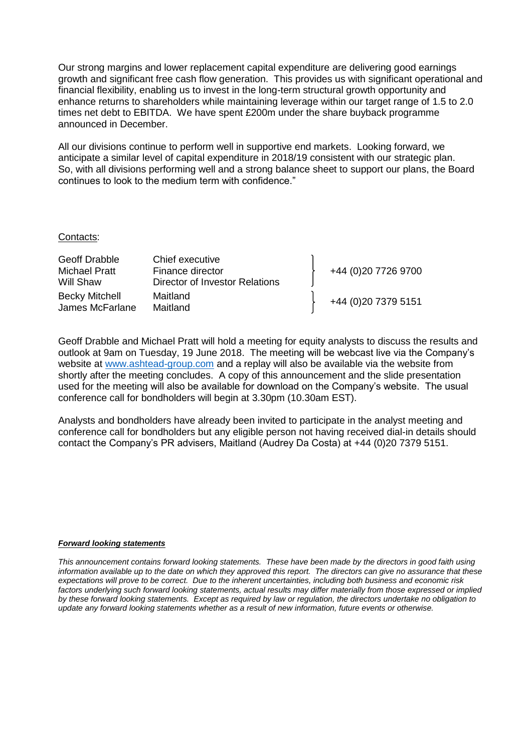Our strong margins and lower replacement capital expenditure are delivering good earnings growth and significant free cash flow generation. This provides us with significant operational and financial flexibility, enabling us to invest in the long-term structural growth opportunity and enhance returns to shareholders while maintaining leverage within our target range of 1.5 to 2.0 times net debt to EBITDA. We have spent £200m under the share buyback programme announced in December.

All our divisions continue to perform well in supportive end markets. Looking forward, we anticipate a similar level of capital expenditure in 2018/19 consistent with our strategic plan. So, with all divisions performing well and a strong balance sheet to support our plans, the Board continues to look to the medium term with confidence."

#### Contacts:

| Geoff Drabble                            | Chief executive                |                      |
|------------------------------------------|--------------------------------|----------------------|
| <b>Michael Pratt</b>                     | Finance director               | +44 (0)20 7726 9700  |
| Will Shaw                                | Director of Investor Relations |                      |
| <b>Becky Mitchell</b><br>James McFarlane | Maitland<br>Maitland           | +44 (0) 20 7379 5151 |

Geoff Drabble and Michael Pratt will hold a meeting for equity analysts to discuss the results and outlook at 9am on Tuesday, 19 June 2018. The meeting will be webcast live via the Company's website at [www.ashtead-group.com](http://www.ashtead-group.com/) and a replay will also be available via the website from shortly after the meeting concludes. A copy of this announcement and the slide presentation used for the meeting will also be available for download on the Company's website. The usual conference call for bondholders will begin at 3.30pm (10.30am EST).

Analysts and bondholders have already been invited to participate in the analyst meeting and conference call for bondholders but any eligible person not having received dial-in details should contact the Company's PR advisers, Maitland (Audrey Da Costa) at +44 (0)20 7379 5151.

#### *Forward looking statements*

*This announcement contains forward looking statements. These have been made by the directors in good faith using information available up to the date on which they approved this report. The directors can give no assurance that these expectations will prove to be correct. Due to the inherent uncertainties, including both business and economic risk*  factors underlying such forward looking statements, actual results may differ materially from those expressed or implied *by these forward looking statements. Except as required by law or regulation, the directors undertake no obligation to update any forward looking statements whether as a result of new information, future events or otherwise.*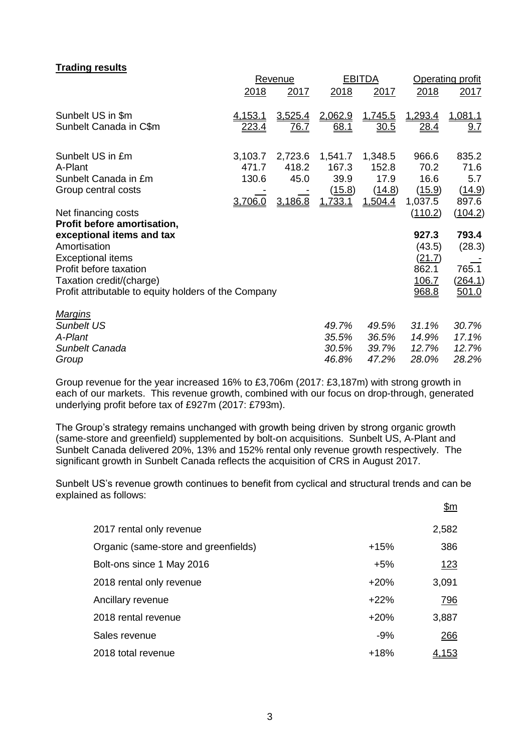### **Trading results**

|                                                      |                | Revenue     |             | <b>EBITDA</b> |              | <b>Operating profit</b> |  |
|------------------------------------------------------|----------------|-------------|-------------|---------------|--------------|-------------------------|--|
|                                                      | 2018           | 2017        | 2018        | 2017          | 2018         | 2017                    |  |
| Sunbelt US in \$m                                    | <u>4.153.1</u> | 3,525.4     | 2,062.9     | 1,745.5       | 1,293.4      | 1,081.1                 |  |
| Sunbelt Canada in C\$m                               | <u>223.4</u>   | <u>76.7</u> | <u>68.1</u> | <u>30.5</u>   | <u>28.4</u>  | 9.7                     |  |
| Sunbelt US in £m                                     | 3,103.7        | 2,723.6     | 1,541.7     | 1,348.5       | 966.6        | 835.2                   |  |
| A-Plant                                              | 471.7          | 418.2       | 167.3       | 152.8         | 70.2         | 71.6                    |  |
| Sunbelt Canada in £m                                 | 130.6          | 45.0        | 39.9        | 17.9          | 16.6         | 5.7                     |  |
| Group central costs                                  |                |             | (15.8)      | (14.8)        | (15.9)       | (14.9)                  |  |
|                                                      | 3,706.0        | 3,186.8     | 1,733.1     | 1.504.4       | 1,037.5      | 897.6                   |  |
| Net financing costs                                  |                |             |             |               | (110.2)      | (104.2)                 |  |
| Profit before amortisation,                          |                |             |             |               |              |                         |  |
| exceptional items and tax                            |                |             |             |               | 927.3        | 793.4                   |  |
| Amortisation                                         |                |             |             |               | (43.5)       | (28.3)                  |  |
| <b>Exceptional items</b>                             |                |             |             |               | (21.7)       |                         |  |
| Profit before taxation                               |                |             |             |               | 862.1        | 765.1                   |  |
| Taxation credit/(charge)                             |                |             |             |               | <u>106.7</u> | (264.1)                 |  |
| Profit attributable to equity holders of the Company |                |             |             |               | 968.8        | 501.0                   |  |
| <u>Margins</u>                                       |                |             |             |               |              |                         |  |
| <b>Sunbelt US</b>                                    |                |             | 49.7%       | 49.5%         | 31.1%        | 30.7%                   |  |
| A-Plant                                              |                |             | 35.5%       | 36.5%         | 14.9%        | 17.1%                   |  |
| Sunbelt Canada                                       |                |             | 30.5%       | 39.7%         | 12.7%        | 12.7%                   |  |
| Group                                                |                |             | 46.8%       | 47.2%         | 28.0%        | 28.2%                   |  |

Group revenue for the year increased 16% to £3,706m (2017: £3,187m) with strong growth in each of our markets. This revenue growth, combined with our focus on drop-through, generated underlying profit before tax of £927m (2017: £793m).

The Group's strategy remains unchanged with growth being driven by strong organic growth (same-store and greenfield) supplemented by bolt-on acquisitions. Sunbelt US, A-Plant and Sunbelt Canada delivered 20%, 13% and 152% rental only revenue growth respectively. The significant growth in Sunbelt Canada reflects the acquisition of CRS in August 2017.

Sunbelt US's revenue growth continues to benefit from cyclical and structural trends and can be explained as follows:  $\mathbf{\hat{R}}$ m

|                                      |        | <u>יייש</u>  |
|--------------------------------------|--------|--------------|
| 2017 rental only revenue             |        | 2,582        |
| Organic (same-store and greenfields) | $+15%$ | 386          |
| Bolt-ons since 1 May 2016            | $+5%$  | <u>123</u>   |
| 2018 rental only revenue             | $+20%$ | 3,091        |
| Ancillary revenue                    | $+22%$ | 796          |
| 2018 rental revenue                  | $+20%$ | 3,887        |
| Sales revenue                        | $-9%$  | 266          |
| 2018 total revenue                   | $+18%$ | <u>4.153</u> |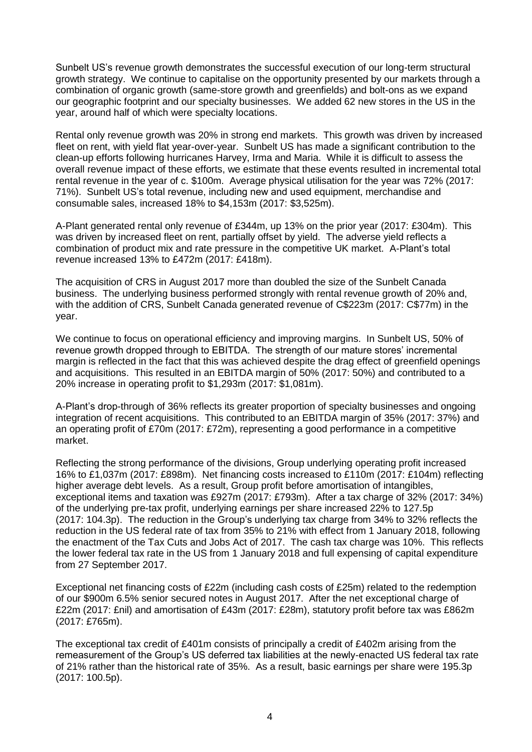Sunbelt US's revenue growth demonstrates the successful execution of our long-term structural growth strategy. We continue to capitalise on the opportunity presented by our markets through a combination of organic growth (same-store growth and greenfields) and bolt-ons as we expand our geographic footprint and our specialty businesses. We added 62 new stores in the US in the year, around half of which were specialty locations.

Rental only revenue growth was 20% in strong end markets. This growth was driven by increased fleet on rent, with yield flat year-over-year. Sunbelt US has made a significant contribution to the clean-up efforts following hurricanes Harvey, Irma and Maria. While it is difficult to assess the overall revenue impact of these efforts, we estimate that these events resulted in incremental total rental revenue in the year of c. \$100m. Average physical utilisation for the year was 72% (2017: 71%). Sunbelt US's total revenue, including new and used equipment, merchandise and consumable sales, increased 18% to \$4,153m (2017: \$3,525m).

A-Plant generated rental only revenue of £344m, up 13% on the prior year (2017: £304m). This was driven by increased fleet on rent, partially offset by yield. The adverse yield reflects a combination of product mix and rate pressure in the competitive UK market. A-Plant's total revenue increased 13% to £472m (2017: £418m).

The acquisition of CRS in August 2017 more than doubled the size of the Sunbelt Canada business. The underlying business performed strongly with rental revenue growth of 20% and, with the addition of CRS, Sunbelt Canada generated revenue of C\$223m (2017: C\$77m) in the year.

We continue to focus on operational efficiency and improving margins. In Sunbelt US, 50% of revenue growth dropped through to EBITDA. The strength of our mature stores' incremental margin is reflected in the fact that this was achieved despite the drag effect of greenfield openings and acquisitions. This resulted in an EBITDA margin of 50% (2017: 50%) and contributed to a 20% increase in operating profit to \$1,293m (2017: \$1,081m).

A-Plant's drop-through of 36% reflects its greater proportion of specialty businesses and ongoing integration of recent acquisitions. This contributed to an EBITDA margin of 35% (2017: 37%) and an operating profit of £70m (2017: £72m), representing a good performance in a competitive market.

Reflecting the strong performance of the divisions, Group underlying operating profit increased 16% to £1,037m (2017: £898m). Net financing costs increased to £110m (2017: £104m) reflecting higher average debt levels. As a result, Group profit before amortisation of intangibles, exceptional items and taxation was £927m (2017: £793m). After a tax charge of 32% (2017: 34%) of the underlying pre-tax profit, underlying earnings per share increased 22% to 127.5p (2017: 104.3p). The reduction in the Group's underlying tax charge from 34% to 32% reflects the reduction in the US federal rate of tax from 35% to 21% with effect from 1 January 2018, following the enactment of the Tax Cuts and Jobs Act of 2017. The cash tax charge was 10%. This reflects the lower federal tax rate in the US from 1 January 2018 and full expensing of capital expenditure from 27 September 2017.

Exceptional net financing costs of £22m (including cash costs of £25m) related to the redemption of our \$900m 6.5% senior secured notes in August 2017. After the net exceptional charge of £22m (2017: £nil) and amortisation of £43m (2017: £28m), statutory profit before tax was £862m (2017: £765m).

The exceptional tax credit of £401m consists of principally a credit of £402m arising from the remeasurement of the Group's US deferred tax liabilities at the newly-enacted US federal tax rate of 21% rather than the historical rate of 35%. As a result, basic earnings per share were 195.3p (2017: 100.5p).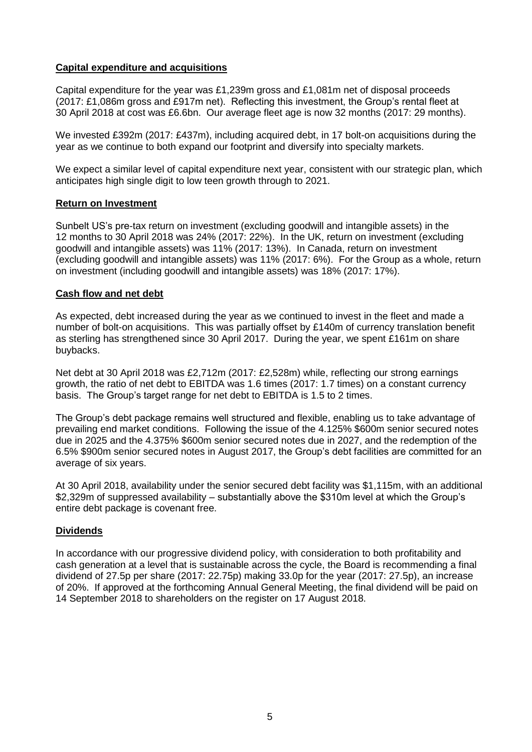# **Capital expenditure and acquisitions**

Capital expenditure for the year was £1,239m gross and £1,081m net of disposal proceeds (2017: £1,086m gross and £917m net). Reflecting this investment, the Group's rental fleet at 30 April 2018 at cost was £6.6bn. Our average fleet age is now 32 months (2017: 29 months).

We invested £392m (2017: £437m), including acquired debt, in 17 bolt-on acquisitions during the year as we continue to both expand our footprint and diversify into specialty markets.

We expect a similar level of capital expenditure next year, consistent with our strategic plan, which anticipates high single digit to low teen growth through to 2021.

# **Return on Investment**

Sunbelt US's pre-tax return on investment (excluding goodwill and intangible assets) in the 12 months to 30 April 2018 was 24% (2017: 22%). In the UK, return on investment (excluding goodwill and intangible assets) was 11% (2017: 13%). In Canada, return on investment (excluding goodwill and intangible assets) was 11% (2017: 6%). For the Group as a whole, return on investment (including goodwill and intangible assets) was 18% (2017: 17%).

# **Cash flow and net debt**

As expected, debt increased during the year as we continued to invest in the fleet and made a number of bolt-on acquisitions. This was partially offset by £140m of currency translation benefit as sterling has strengthened since 30 April 2017. During the year, we spent £161m on share buybacks.

Net debt at 30 April 2018 was £2,712m (2017: £2,528m) while, reflecting our strong earnings growth, the ratio of net debt to EBITDA was 1.6 times (2017: 1.7 times) on a constant currency basis. The Group's target range for net debt to EBITDA is 1.5 to 2 times.

The Group's debt package remains well structured and flexible, enabling us to take advantage of prevailing end market conditions. Following the issue of the 4.125% \$600m senior secured notes due in 2025 and the 4.375% \$600m senior secured notes due in 2027, and the redemption of the 6.5% \$900m senior secured notes in August 2017, the Group's debt facilities are committed for an average of six years.

At 30 April 2018, availability under the senior secured debt facility was \$1,115m, with an additional \$2,329m of suppressed availability – substantially above the \$310m level at which the Group's entire debt package is covenant free.

# **Dividends**

In accordance with our progressive dividend policy, with consideration to both profitability and cash generation at a level that is sustainable across the cycle, the Board is recommending a final dividend of 27.5p per share (2017: 22.75p) making 33.0p for the year (2017: 27.5p), an increase of 20%. If approved at the forthcoming Annual General Meeting, the final dividend will be paid on 14 September 2018 to shareholders on the register on 17 August 2018.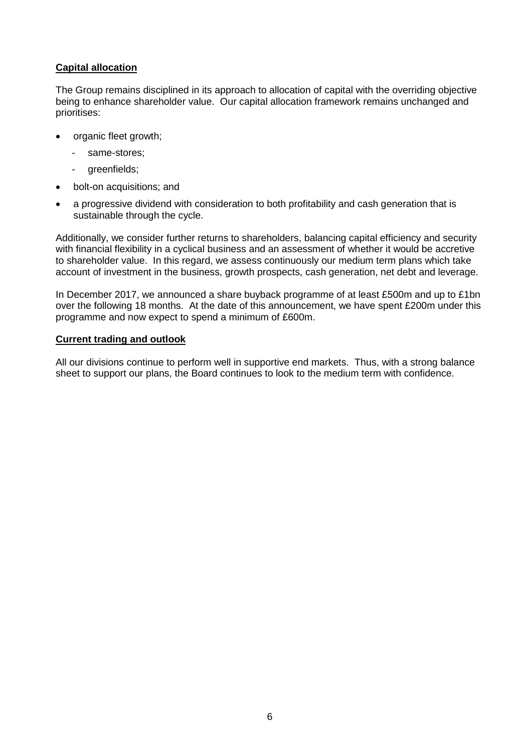# **Capital allocation**

The Group remains disciplined in its approach to allocation of capital with the overriding objective being to enhance shareholder value. Our capital allocation framework remains unchanged and prioritises:

- organic fleet growth;
	- same-stores:
	- greenfields;
- bolt-on acquisitions; and
- a progressive dividend with consideration to both profitability and cash generation that is sustainable through the cycle.

Additionally, we consider further returns to shareholders, balancing capital efficiency and security with financial flexibility in a cyclical business and an assessment of whether it would be accretive to shareholder value. In this regard, we assess continuously our medium term plans which take account of investment in the business, growth prospects, cash generation, net debt and leverage.

In December 2017, we announced a share buyback programme of at least £500m and up to £1bn over the following 18 months. At the date of this announcement, we have spent £200m under this programme and now expect to spend a minimum of £600m.

### **Current trading and outlook**

All our divisions continue to perform well in supportive end markets. Thus, with a strong balance sheet to support our plans, the Board continues to look to the medium term with confidence.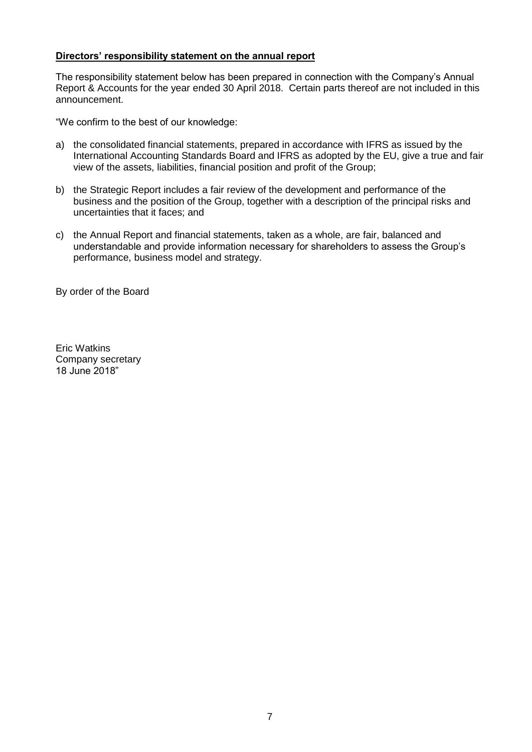# **Directors' responsibility statement on the annual report**

The responsibility statement below has been prepared in connection with the Company's Annual Report & Accounts for the year ended 30 April 2018. Certain parts thereof are not included in this announcement.

"We confirm to the best of our knowledge:

- a) the consolidated financial statements, prepared in accordance with IFRS as issued by the International Accounting Standards Board and IFRS as adopted by the EU, give a true and fair view of the assets, liabilities, financial position and profit of the Group;
- b) the Strategic Report includes a fair review of the development and performance of the business and the position of the Group, together with a description of the principal risks and uncertainties that it faces; and
- c) the Annual Report and financial statements, taken as a whole, are fair, balanced and understandable and provide information necessary for shareholders to assess the Group's performance, business model and strategy.

By order of the Board

Eric Watkins Company secretary 18 June 2018"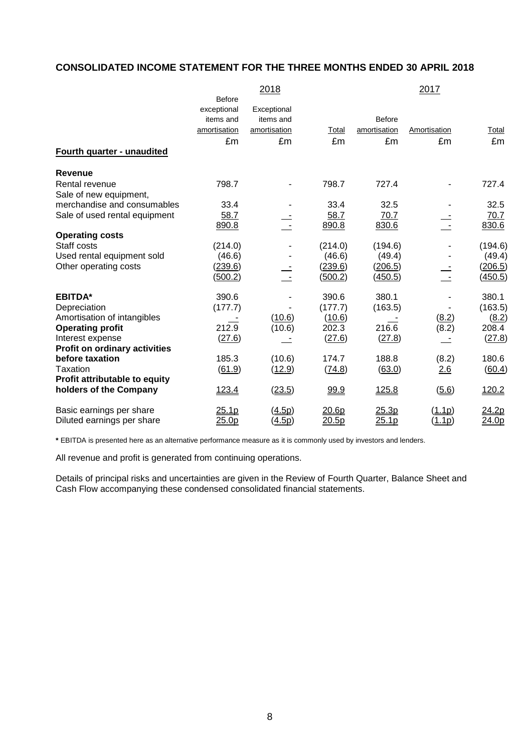# **CONSOLIDATED INCOME STATEMENT FOR THE THREE MONTHS ENDED 30 APRIL 2018**

|                                      |                   | 2018                 |         |                | 2017         |         |
|--------------------------------------|-------------------|----------------------|---------|----------------|--------------|---------|
|                                      | <b>Before</b>     |                      |         |                |              |         |
|                                      | exceptional       | Exceptional          |         |                |              |         |
|                                      | items and         | items and            |         | <b>Before</b>  |              |         |
|                                      | amortisation      | amortisation         | Total   | amortisation   | Amortisation | Total   |
|                                      | £m                | £m                   | £m      | £m             | £m           | £m      |
| Fourth quarter - unaudited           |                   |                      |         |                |              |         |
| <b>Revenue</b>                       |                   |                      |         |                |              |         |
| Rental revenue                       | 798.7             |                      | 798.7   | 727.4          |              | 727.4   |
| Sale of new equipment,               |                   |                      |         |                |              |         |
| merchandise and consumables          | 33.4              |                      | 33.4    | 32.5           |              | 32.5    |
| Sale of used rental equipment        | 58.7              |                      | 58.7    | 70.7           |              | 70.7    |
|                                      | 890.8             |                      | 890.8   | 830.6          |              | 830.6   |
| <b>Operating costs</b>               |                   |                      |         |                |              |         |
| Staff costs                          | (214.0)           |                      | (214.0) | (194.6)        |              | (194.6) |
| Used rental equipment sold           | (46.6)            |                      | (46.6)  | (49.4)         |              | (49.4)  |
| Other operating costs                | (239.6)           |                      | (239.6) | (206.5)        |              | (206.5) |
|                                      | <u>(500.2)</u>    |                      | (500.2) | <u>(450.5)</u> |              | (450.5) |
| <b>EBITDA*</b>                       | 390.6             |                      | 390.6   | 380.1          |              | 380.1   |
| Depreciation                         | (177.7)           |                      | (177.7) | (163.5)        |              | (163.5) |
| Amortisation of intangibles          |                   | (10.6)               | (10.6)  |                | (8.2)        | (8.2)   |
| <b>Operating profit</b>              | 212.9             | (10.6)               | 202.3   | 216.6          | (8.2)        | 208.4   |
| Interest expense                     | (27.6)            |                      | (27.6)  | (27.8)         |              | (27.8)  |
| <b>Profit on ordinary activities</b> |                   |                      |         |                |              |         |
| before taxation                      | 185.3             | (10.6)               | 174.7   | 188.8          | (8.2)        | 180.6   |
| Taxation                             | (61.9)            | (12.9)               | (74.8)  | (63.0)         | 2.6          | (60.4)  |
| Profit attributable to equity        |                   |                      |         |                |              |         |
| holders of the Company               | 123.4             | (23.5)               | 99.9    | 125.8          | (5.6)        | 120.2   |
| Basic earnings per share             | 25.1p             | (4.5p)               | 20.6p   | 25.3p          | (1.1p)       | 24.2p   |
| Diluted earnings per share           | 25.0 <sub>p</sub> | $(\underline{4.5p})$ | 20.5p   | 25.1p          | (1.1p)       | 24.0p   |

**\*** EBITDA is presented here as an alternative performance measure as it is commonly used by investors and lenders.

All revenue and profit is generated from continuing operations.

Details of principal risks and uncertainties are given in the Review of Fourth Quarter, Balance Sheet and Cash Flow accompanying these condensed consolidated financial statements.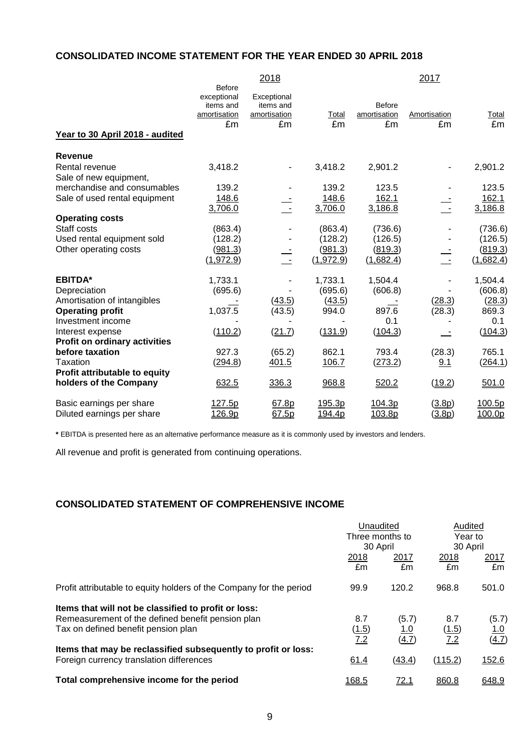# **CONSOLIDATED INCOME STATEMENT FOR THE YEAR ENDED 30 APRIL 2018**

|                                          |                                                                 | 2018                                           |             |                              | 2017               |                |
|------------------------------------------|-----------------------------------------------------------------|------------------------------------------------|-------------|------------------------------|--------------------|----------------|
| Year to 30 April 2018 - audited          | <b>Before</b><br>exceptional<br>items and<br>amortisation<br>£m | Exceptional<br>items and<br>amortisation<br>£m | Total<br>£m | Before<br>amortisation<br>£m | Amortisation<br>£m | Total<br>£m    |
| Revenue                                  |                                                                 |                                                |             |                              |                    |                |
| Rental revenue<br>Sale of new equipment, | 3,418.2                                                         |                                                | 3,418.2     | 2,901.2                      |                    | 2,901.2        |
| merchandise and consumables              | 139.2                                                           |                                                | 139.2       | 123.5                        |                    | 123.5          |
| Sale of used rental equipment            | 148.6                                                           |                                                | 148.6       | 162.1                        |                    | 162.1          |
|                                          | 3,706.0                                                         |                                                | 3,706.0     | 3,186.8                      |                    | 3,186.8        |
| <b>Operating costs</b>                   |                                                                 |                                                |             |                              |                    |                |
| Staff costs                              | (863.4)                                                         |                                                | (863.4)     | (736.6)                      |                    | (736.6)        |
| Used rental equipment sold               | (128.2)                                                         |                                                | (128.2)     | (126.5)                      |                    | (126.5)        |
| Other operating costs                    | (981.3)                                                         |                                                | (981.3)     | (819.3)                      |                    | <u>(819.3)</u> |
|                                          | (1, 972.9)                                                      | $\overline{\phantom{a}}$                       | (1, 972.9)  | (1,682.4)                    |                    | (1,682.4)      |
| <b>EBITDA*</b>                           | 1,733.1                                                         |                                                | 1,733.1     | 1,504.4                      |                    | 1,504.4        |
| Depreciation                             | (695.6)                                                         |                                                | (695.6)     | (606.8)                      |                    | (606.8)        |
| Amortisation of intangibles              |                                                                 | (43.5)                                         | (43.5)      |                              | (28.3)             | (28.3)         |
| <b>Operating profit</b>                  | 1,037.5                                                         | (43.5)                                         | 994.0       | 897.6                        | (28.3)             | 869.3          |
| Investment income                        |                                                                 |                                                |             | 0.1                          |                    | 0.1            |
| Interest expense                         | (110.2)                                                         | (21.7)                                         | (131.9)     | (104.3)                      |                    | (104.3)        |
| <b>Profit on ordinary activities</b>     |                                                                 |                                                |             |                              |                    |                |
| before taxation                          | 927.3                                                           | (65.2)                                         | 862.1       | 793.4                        | (28.3)             | 765.1          |
| Taxation                                 | (294.8)                                                         | 401.5                                          | 106.7       | (273.2)                      | 9.1                | (264.1)        |
| Profit attributable to equity            |                                                                 |                                                |             |                              |                    |                |
| holders of the Company                   | 632.5                                                           | 336.3                                          | 968.8       | 520.2                        | (19.2)             | 501.0          |
| Basic earnings per share                 | 127.5p                                                          | 67.8p                                          | 195.3p      | 104.3p                       | (3.8p)             | 100.5p         |
| Diluted earnings per share               | 126.9p                                                          | 67.5p                                          | 194.4p      | 103.8p                       | (3.8p)             | 100.0p         |

**\*** EBITDA is presented here as an alternative performance measure as it is commonly used by investors and lenders.

All revenue and profit is generated from continuing operations.

# **CONSOLIDATED STATEMENT OF COMPREHENSIVE INCOME**

|                                                                     | Unaudited     |                             | Audited<br>Year to |          |
|---------------------------------------------------------------------|---------------|-----------------------------|--------------------|----------|
|                                                                     |               | Three months to<br>30 April |                    | 30 April |
|                                                                     | 2018          | 2017                        | 2018               | 2017     |
|                                                                     | £m            | £m                          | £m                 | £m       |
| Profit attributable to equity holders of the Company for the period | 99.9          | 120.2                       | 968.8              | 501.0    |
| Items that will not be classified to profit or loss:                |               |                             |                    |          |
| Remeasurement of the defined benefit pension plan                   | 8.7           | (5.7)                       | 8.7                | (5.7)    |
| Tax on defined benefit pension plan                                 | (1.5)         | <u>1.0</u>                  | (1.5)              | 1.0      |
|                                                                     | 7.2           | (4.7)                       | 7.2                | (4.7)    |
| Items that may be reclassified subsequently to profit or loss:      |               |                             |                    |          |
| Foreign currency translation differences                            | 61.4          | (43.4)                      | (115.2)            | 152.6    |
| Total comprehensive income for the period                           | <u> 168.5</u> | <u>72.1</u>                 | 860.8              | 648.9    |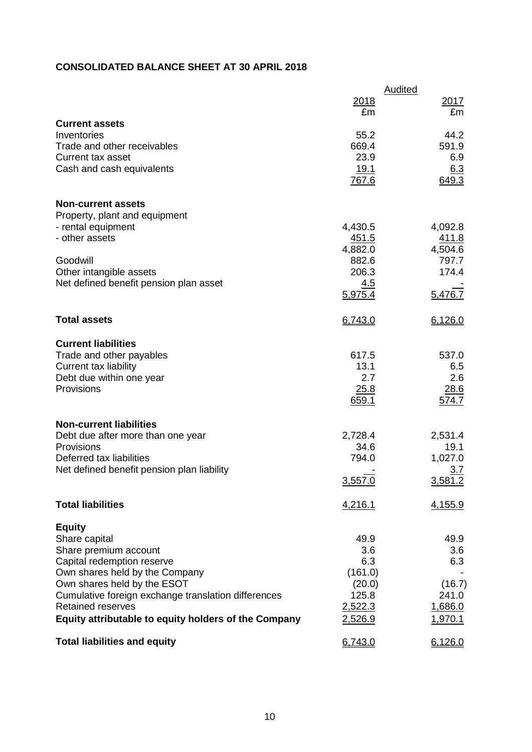# **CONSOLIDATED BALANCE SHEET AT 30 APRIL 2018**

|                                                                                 |                         | <b>Audited</b>   |
|---------------------------------------------------------------------------------|-------------------------|------------------|
|                                                                                 | 2018                    | 2017             |
| <b>Current assets</b>                                                           | £m                      | £m               |
| Inventories                                                                     | 55.2                    | 44.2             |
| Trade and other receivables<br>Current tax asset                                | 669.4<br>23.9           | 591.9<br>6.9     |
| Cash and cash equivalents                                                       | <u>19.1</u>             | 6.3              |
|                                                                                 | 767.6                   | 649.3            |
| <b>Non-current assets</b>                                                       |                         |                  |
| Property, plant and equipment                                                   |                         |                  |
| - rental equipment<br>- other assets                                            | 4,430.5<br><u>451.5</u> | 4,092.8<br>411.8 |
|                                                                                 | 4,882.0                 | 4,504.6          |
| Goodwill                                                                        | 882.6                   | 797.7            |
| Other intangible assets<br>Net defined benefit pension plan asset               | 206.3<br>4.5            | 174.4            |
|                                                                                 | 5,975.4                 | 5,476.7          |
| <b>Total assets</b>                                                             | 6,743.0                 | 6,126.0          |
| <b>Current liabilities</b>                                                      |                         |                  |
| Trade and other payables                                                        | 617.5                   | 537.0            |
| <b>Current tax liability</b><br>Debt due within one year                        | 13.1<br>2.7             | 6.5<br>2.6       |
| Provisions                                                                      | 25.8                    | 28.6             |
|                                                                                 | 659.1                   | 574.7            |
| <b>Non-current liabilities</b>                                                  |                         |                  |
| Debt due after more than one year<br>Provisions                                 | 2,728.4<br>34.6         | 2,531.4          |
| Deferred tax liabilities                                                        | 794.0                   | 19.1<br>1,027.0  |
| Net defined benefit pension plan liability                                      |                         | <u>3.7</u>       |
|                                                                                 | 3,557.0                 | 3,581.2          |
| <b>Total liabilities</b>                                                        | 4,216.1                 | 4,155.9          |
| <b>Equity</b>                                                                   |                         |                  |
| Share capital                                                                   | 49.9                    | 49.9             |
| Share premium account<br>Capital redemption reserve                             | 3.6<br>6.3              | 3.6<br>6.3       |
| Own shares held by the Company                                                  | (161.0)                 |                  |
| Own shares held by the ESOT                                                     | (20.0)                  | (16.7)           |
| Cumulative foreign exchange translation differences<br><b>Retained reserves</b> | 125.8<br>2,522.3        | 241.0<br>1,686.0 |
| Equity attributable to equity holders of the Company                            | 2,526.9                 | 1,970.1          |
| <b>Total liabilities and equity</b>                                             | 6,743.0                 | 6,126.0          |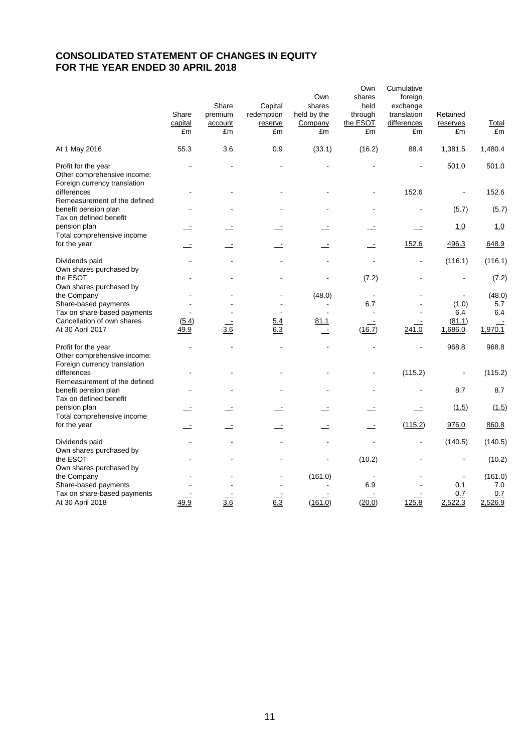# **CONSOLIDATED STATEMENT OF CHANGES IN EQUITY FOR THE YEAR ENDED 30 APRIL 2018**

|                                                                                    | Share<br>capital<br>£m | Share<br>premium<br>account<br>£m | Capital<br>redemption<br>reserve<br>£m | Own<br>shares<br>held by the<br>Company<br>£m | Own<br>shares<br>held<br>through<br>the ESOT<br>£m | Cumulative<br>foreign<br>exchange<br>translation<br>differences<br>£m | Retained<br>reserves<br>£m | <u>Total</u><br>£m |
|------------------------------------------------------------------------------------|------------------------|-----------------------------------|----------------------------------------|-----------------------------------------------|----------------------------------------------------|-----------------------------------------------------------------------|----------------------------|--------------------|
| At 1 May 2016                                                                      | 55.3                   | 3.6                               | 0.9                                    | (33.1)                                        | (16.2)                                             | 88.4                                                                  | 1,381.5                    | 1,480.4            |
| Profit for the year<br>Other comprehensive income:<br>Foreign currency translation |                        |                                   |                                        |                                               |                                                    |                                                                       | 501.0                      | 501.0              |
| differences<br>Remeasurement of the defined                                        |                        |                                   |                                        |                                               |                                                    | 152.6                                                                 |                            | 152.6              |
| benefit pension plan<br>Tax on defined benefit                                     |                        |                                   |                                        |                                               |                                                    |                                                                       | (5.7)                      | (5.7)              |
| pension plan<br>Total comprehensive income                                         |                        |                                   |                                        |                                               |                                                    |                                                                       | 1.0                        | 1.0                |
| for the year                                                                       |                        |                                   |                                        | $\overline{\phantom{a}}$                      | $\overline{\phantom{a}}$                           | 152.6                                                                 | 496.3                      | 648.9              |
| Dividends paid<br>Own shares purchased by                                          |                        |                                   |                                        |                                               |                                                    |                                                                       | (116.1)                    | (116.1)            |
| the ESOT<br>Own shares purchased by                                                |                        |                                   |                                        |                                               | (7.2)                                              |                                                                       |                            | (7.2)              |
| the Company                                                                        |                        |                                   |                                        | (48.0)                                        |                                                    |                                                                       |                            | (48.0)             |
| Share-based payments<br>Tax on share-based payments                                |                        |                                   |                                        |                                               | 6.7                                                |                                                                       | (1.0)<br>6.4               | 5.7<br>6.4         |
| Cancellation of own shares                                                         |                        |                                   |                                        |                                               |                                                    |                                                                       |                            |                    |
| At 30 April 2017                                                                   | (5.4)<br>49.9          | 3.6                               | <u>5.4</u><br>6.3                      | <u>81.1</u><br>$\blacksquare$                 | (16.7)                                             | 241.0                                                                 | (81.1)<br>1,686.0          | 1,970.1            |
| Profit for the year<br>Other comprehensive income:<br>Foreign currency translation |                        |                                   |                                        |                                               |                                                    |                                                                       | 968.8                      | 968.8              |
| differences<br>Remeasurement of the defined                                        |                        |                                   |                                        |                                               |                                                    | (115.2)                                                               |                            | (115.2)            |
| benefit pension plan<br>Tax on defined benefit                                     |                        |                                   |                                        |                                               |                                                    |                                                                       | 8.7                        | 8.7                |
| pension plan<br>Total comprehensive income                                         |                        |                                   |                                        |                                               |                                                    |                                                                       | (1.5)                      | (1.5)              |
| for the year                                                                       |                        |                                   |                                        | $\overline{\phantom{a}}$                      | $\overline{\phantom{a}}$                           | (115.2)                                                               | 976.0                      | 860.8              |
| Dividends paid                                                                     |                        |                                   |                                        | $\blacksquare$                                |                                                    |                                                                       | (140.5)                    | (140.5)            |
| Own shares purchased by<br>the ESOT                                                |                        |                                   |                                        | $\overline{a}$                                | (10.2)                                             |                                                                       |                            | (10.2)             |
| Own shares purchased by<br>the Company                                             |                        |                                   |                                        | (161.0)                                       |                                                    |                                                                       |                            | (161.0)            |
| Share-based payments                                                               |                        |                                   |                                        |                                               | 6.9                                                |                                                                       | 0.1                        | 7.0                |
| Tax on share-based payments                                                        |                        |                                   |                                        |                                               |                                                    |                                                                       | 0.7                        | 0.7                |
| At 30 April 2018                                                                   | 49.9                   | 3.6                               | 6.3                                    | (161.0)                                       | (20.0)                                             | 125.8                                                                 | 2,522.3                    | 2,526.9            |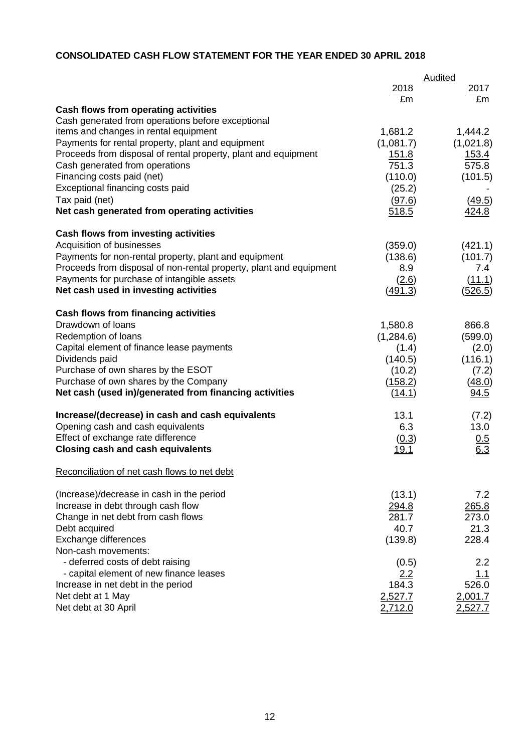# **CONSOLIDATED CASH FLOW STATEMENT FOR THE YEAR ENDED 30 APRIL 2018**

|                                                                                            |                       | Audited           |
|--------------------------------------------------------------------------------------------|-----------------------|-------------------|
|                                                                                            | 2018                  | 2017              |
|                                                                                            | £m                    | £m                |
| Cash flows from operating activities                                                       |                       |                   |
| Cash generated from operations before exceptional                                          |                       |                   |
| items and changes in rental equipment<br>Payments for rental property, plant and equipment | 1,681.2               | 1,444.2           |
| Proceeds from disposal of rental property, plant and equipment                             | (1,081.7)             | (1,021.8)         |
|                                                                                            | <u>151.8</u><br>751.3 | 153.4<br>575.8    |
| Cash generated from operations<br>Financing costs paid (net)                               |                       |                   |
| Exceptional financing costs paid                                                           | (110.0)               | (101.5)           |
|                                                                                            | (25.2)                |                   |
| Tax paid (net)                                                                             | (97.6)                | (49.5)            |
| Net cash generated from operating activities                                               | 518.5                 | 424.8             |
| <b>Cash flows from investing activities</b>                                                |                       |                   |
| Acquisition of businesses                                                                  | (359.0)               | (421.1)           |
| Payments for non-rental property, plant and equipment                                      | (138.6)               | (101.7)           |
| Proceeds from disposal of non-rental property, plant and equipment                         | 8.9                   | 7.4               |
| Payments for purchase of intangible assets                                                 | (2.6)                 | (11.1)            |
| Net cash used in investing activities                                                      | (491.3)               | (526.5)           |
|                                                                                            |                       |                   |
| <b>Cash flows from financing activities</b><br>Drawdown of loans                           |                       |                   |
| Redemption of loans                                                                        | 1,580.8               | 866.8             |
| Capital element of finance lease payments                                                  | (1,284.6)             | (599.0)           |
| Dividends paid                                                                             | (1.4)<br>(140.5)      | (2.0)             |
| Purchase of own shares by the ESOT                                                         | (10.2)                | (116.1)           |
| Purchase of own shares by the Company                                                      | (158.2)               | (7.2)<br>(48.0)   |
| Net cash (used in)/generated from financing activities                                     | (14.1)                | 94.5              |
|                                                                                            |                       |                   |
| Increase/(decrease) in cash and cash equivalents                                           | 13.1                  | (7.2)             |
| Opening cash and cash equivalents                                                          | 6.3                   | 13.0              |
| Effect of exchange rate difference                                                         | (0.3)                 | $\frac{0.5}{6.3}$ |
| <b>Closing cash and cash equivalents</b>                                                   | <u>19.1</u>           |                   |
| Reconciliation of net cash flows to net debt                                               |                       |                   |
|                                                                                            |                       |                   |
| (Increase)/decrease in cash in the period                                                  | (13.1)                | 7.2               |
| Increase in debt through cash flow                                                         | 294.8                 | 265.8             |
| Change in net debt from cash flows                                                         | 281.7                 | 273.0             |
| Debt acquired                                                                              | 40.7                  | 21.3              |
| Exchange differences                                                                       | (139.8)               | 228.4             |
| Non-cash movements:                                                                        |                       |                   |
| - deferred costs of debt raising                                                           | (0.5)                 | 2.2               |
| - capital element of new finance leases                                                    | 2.2                   | 1.1               |
| Increase in net debt in the period                                                         | 184.3                 | 526.0             |
| Net debt at 1 May                                                                          | 2,527.7               | 2,001.7           |
| Net debt at 30 April                                                                       | 2,712.0               | 2,527.7           |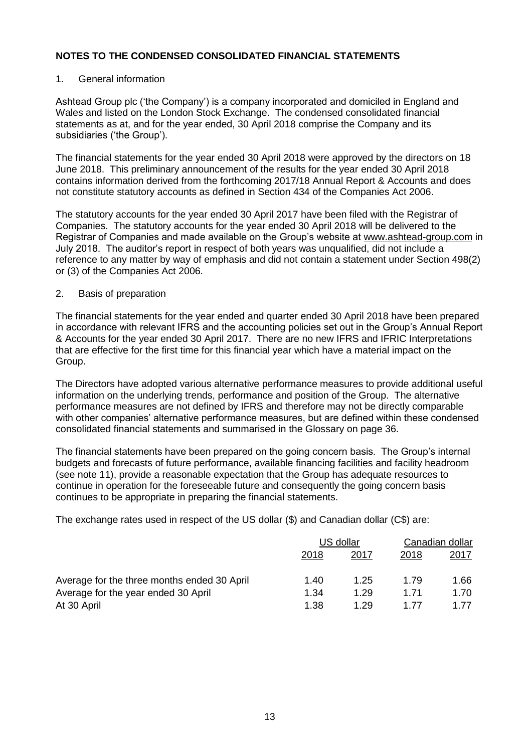### 1. General information

Ashtead Group plc ('the Company') is a company incorporated and domiciled in England and Wales and listed on the London Stock Exchange. The condensed consolidated financial statements as at, and for the year ended, 30 April 2018 comprise the Company and its subsidiaries ('the Group').

The financial statements for the year ended 30 April 2018 were approved by the directors on 18 June 2018. This preliminary announcement of the results for the year ended 30 April 2018 contains information derived from the forthcoming 2017/18 Annual Report & Accounts and does not constitute statutory accounts as defined in Section 434 of the Companies Act 2006.

The statutory accounts for the year ended 30 April 2017 have been filed with the Registrar of Companies. The statutory accounts for the year ended 30 April 2018 will be delivered to the Registrar of Companies and made available on the Group's website at [www.ashtead-group.com](http://www.ashtead-group.com/) in July 2018. The auditor's report in respect of both years was unqualified, did not include a reference to any matter by way of emphasis and did not contain a statement under Section 498(2) or (3) of the Companies Act 2006.

### 2. Basis of preparation

The financial statements for the year ended and quarter ended 30 April 2018 have been prepared in accordance with relevant IFRS and the accounting policies set out in the Group's Annual Report & Accounts for the year ended 30 April 2017. There are no new IFRS and IFRIC Interpretations that are effective for the first time for this financial year which have a material impact on the Group.

The Directors have adopted various alternative performance measures to provide additional useful information on the underlying trends, performance and position of the Group. The alternative performance measures are not defined by IFRS and therefore may not be directly comparable with other companies' alternative performance measures, but are defined within these condensed consolidated financial statements and summarised in the Glossary on page 36.

The financial statements have been prepared on the going concern basis. The Group's internal budgets and forecasts of future performance, available financing facilities and facility headroom (see note 11), provide a reasonable expectation that the Group has adequate resources to continue in operation for the foreseeable future and consequently the going concern basis continues to be appropriate in preparing the financial statements.

The exchange rates used in respect of the US dollar (\$) and Canadian dollar (C\$) are:

|                                             | US dollar |      | Canadian dollar |             |
|---------------------------------------------|-----------|------|-----------------|-------------|
|                                             | 2018      | 2017 | 2018            | <u>2017</u> |
| Average for the three months ended 30 April | 1.40      | 1.25 | 1.79            | 1.66        |
| Average for the year ended 30 April         | 1.34      | 1.29 | 1.71            | 1.70        |
| At 30 April                                 | 1.38      | 1 29 | 1 77            | 1 77        |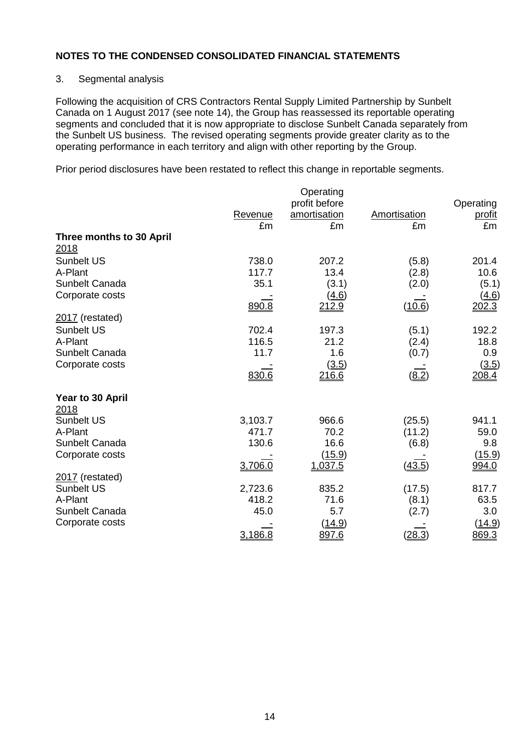### 3. Segmental analysis

Following the acquisition of CRS Contractors Rental Supply Limited Partnership by Sunbelt Canada on 1 August 2017 (see note 14), the Group has reassessed its reportable operating segments and concluded that it is now appropriate to disclose Sunbelt Canada separately from the Sunbelt US business. The revised operating segments provide greater clarity as to the operating performance in each territory and align with other reporting by the Group.

Prior period disclosures have been restated to reflect this change in reportable segments.

|                          |               | Operating<br>profit before |                    | Operating           |
|--------------------------|---------------|----------------------------|--------------------|---------------------|
|                          | Revenue<br>£m | amortisation<br>£m         | Amortisation<br>£m | <u>profit</u><br>£m |
| Three months to 30 April |               |                            |                    |                     |
| 2018                     |               |                            |                    |                     |
| <b>Sunbelt US</b>        | 738.0         | 207.2                      | (5.8)              | 201.4               |
| A-Plant                  | 117.7         | 13.4                       | (2.8)              | 10.6                |
| Sunbelt Canada           | 35.1          | (3.1)                      | (2.0)              | (5.1)               |
| Corporate costs          |               | <u>(4.6)</u>               |                    | ( <u>4.6</u> )      |
|                          | 890.8         | 212.9                      | (10.6)             | 202.3               |
| $2017$ (restated)        |               |                            |                    |                     |
| <b>Sunbelt US</b>        | 702.4         | 197.3                      | (5.1)              | 192.2               |
| A-Plant                  | 116.5         | 21.2                       | (2.4)              | 18.8                |
| Sunbelt Canada           | 11.7          | 1.6                        | (0.7)              | 0.9                 |
| Corporate costs          |               | (3.5)                      |                    | (3.5)               |
|                          | 830.6         | 216.6                      | (8.2)              | 208.4               |
| Year to 30 April         |               |                            |                    |                     |
| 2018                     |               |                            |                    |                     |
| <b>Sunbelt US</b>        | 3,103.7       | 966.6                      | (25.5)             | 941.1               |
| A-Plant                  | 471.7         | 70.2                       | (11.2)             | 59.0                |
| Sunbelt Canada           | 130.6         | 16.6                       | (6.8)              | 9.8                 |
| Corporate costs          |               | (15.9)                     |                    | (15.9)              |
|                          | 3,706.0       | 1,037.5                    | (43.5)             | 994.0               |
| 2017 (restated)          |               |                            |                    |                     |
| <b>Sunbelt US</b>        | 2,723.6       | 835.2                      | (17.5)             | 817.7               |
| A-Plant                  | 418.2         | 71.6                       | (8.1)              | 63.5                |
| Sunbelt Canada           | 45.0          | 5.7                        | (2.7)              | 3.0                 |
| Corporate costs          |               | (14.9)                     |                    | (14.9)              |
|                          | 3,186.8       | 897.6                      | (28.3)             | 869.3               |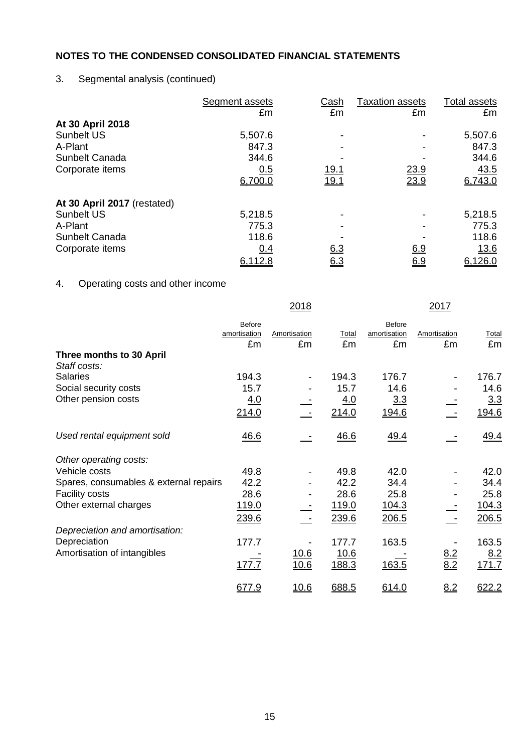# 3. Segmental analysis (continued)

|                             | Segment assets | Cash       | <b>Taxation assets</b> | Total assets |
|-----------------------------|----------------|------------|------------------------|--------------|
|                             | £m             | £m         | £m                     | £m           |
| At 30 April 2018            |                |            |                        |              |
| <b>Sunbelt US</b>           | 5,507.6        |            |                        | 5,507.6      |
| A-Plant                     | 847.3          |            |                        | 847.3        |
| Sunbelt Canada              | 344.6          |            |                        | 344.6        |
| Corporate items             | 0.5            | 19.1       | 23.9                   | 43.5         |
|                             | 6,700.0        | 19.1       | 23.9                   | 6,743.0      |
| At 30 April 2017 (restated) |                |            |                        |              |
| Sunbelt US                  | 5,218.5        |            |                        | 5,218.5      |
| A-Plant                     | 775.3          |            |                        | 775.3        |
| Sunbelt Canada              | 118.6          |            |                        | 118.6        |
| Corporate items             | 0.4            | 6.3        | 6.9                    | <u>13.6</u>  |
|                             | 6,112.8        | <u>6.3</u> | <u>6.9</u>             | 6,126.0      |

# 4. Operating costs and other income

|                                        |               | 2018                     |            |               | 2017              |       |
|----------------------------------------|---------------|--------------------------|------------|---------------|-------------------|-------|
|                                        | <b>Before</b> |                          |            | <b>Before</b> |                   |       |
|                                        | amortisation  | Amortisation             | Total      | amortisation  | Amortisation      | Total |
|                                        | £m            | £m                       | £m         | £m            | £m                | £m    |
| Three months to 30 April               |               |                          |            |               |                   |       |
| Staff costs:                           |               |                          |            |               |                   |       |
| <b>Salaries</b>                        | 194.3         | $\overline{\phantom{a}}$ | 194.3      | 176.7         |                   | 176.7 |
| Social security costs                  | 15.7          |                          | 15.7       | 14.6          |                   | 14.6  |
| Other pension costs                    | <u>4.0</u>    |                          | <u>4.0</u> | 3.3           |                   | 3.3   |
|                                        | 214.0         |                          | 214.0      | 194.6         |                   | 194.6 |
|                                        |               |                          |            |               |                   |       |
| Used rental equipment sold             | 46.6          |                          | 46.6       | <u>49.4</u>   |                   | 49.4  |
|                                        |               |                          |            |               |                   |       |
| Other operating costs:                 |               |                          |            |               |                   |       |
| Vehicle costs                          | 49.8          |                          | 49.8       | 42.0          |                   | 42.0  |
| Spares, consumables & external repairs | 42.2          |                          | 42.2       | 34.4          |                   | 34.4  |
| <b>Facility costs</b>                  | 28.6          |                          | 28.6       | 25.8          |                   | 25.8  |
| Other external charges                 | 119.0         |                          | 119.0      | <u>104.3</u>  |                   | 104.3 |
|                                        | 239.6         |                          | 239.6      | 206.5         |                   | 206.5 |
| Depreciation and amortisation:         |               |                          |            |               |                   |       |
| Depreciation                           | 177.7         |                          | 177.7      | 163.5         |                   | 163.5 |
| Amortisation of intangibles            |               | 10.6                     | 10.6       |               |                   | 8.2   |
|                                        | 177.7         | 10.6                     | 188.3      | 163.5         | $\frac{8.2}{8.2}$ | 171.7 |
|                                        |               |                          |            |               |                   |       |
|                                        | 677.9         | <u>10.6</u>              | 688.5      | 614.0         | 8.2               | 622.2 |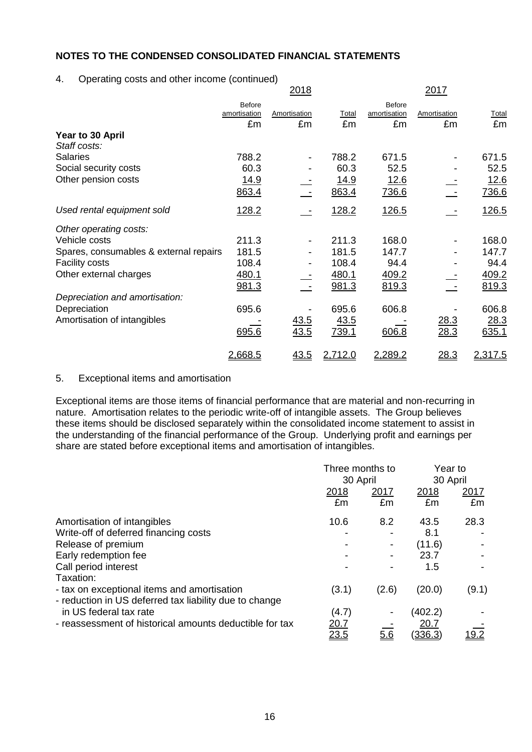### 4. Operating costs and other income (continued)

|                                        |                        | <u>2018</u>              |         |                               | <u> 2017 </u> |              |
|----------------------------------------|------------------------|--------------------------|---------|-------------------------------|---------------|--------------|
|                                        | Before<br>amortisation | Amortisation             | Total   | <b>Before</b><br>amortisation | Amortisation  | <b>Total</b> |
|                                        | £m                     | £m                       | £m      | £m                            | £m            | £m           |
| Year to 30 April<br>Staff costs:       |                        |                          |         |                               |               |              |
| <b>Salaries</b>                        | 788.2                  | $\overline{\phantom{a}}$ | 788.2   | 671.5                         |               | 671.5        |
| Social security costs                  | 60.3                   |                          | 60.3    | 52.5                          |               | 52.5         |
| Other pension costs                    | 14.9                   |                          | 14.9    | 12.6                          |               | 12.6         |
|                                        | 863.4                  |                          | 863.4   | 736.6                         |               | 736.6        |
| Used rental equipment sold             | 128.2                  |                          | 128.2   | 126.5                         |               | 126.5        |
| Other operating costs:                 |                        |                          |         |                               |               |              |
| Vehicle costs                          | 211.3                  |                          | 211.3   | 168.0                         |               | 168.0        |
| Spares, consumables & external repairs | 181.5                  | $\overline{\phantom{a}}$ | 181.5   | 147.7                         |               | 147.7        |
| <b>Facility costs</b>                  | 108.4                  |                          | 108.4   | 94.4                          |               | 94.4         |
| Other external charges                 | 480.1                  |                          | 480.1   | 409.2                         |               | 409.2        |
|                                        | 981.3                  |                          | 981.3   | 819.3                         |               | 819.3        |
| Depreciation and amortisation:         |                        |                          |         |                               |               |              |
| Depreciation                           | 695.6                  |                          | 695.6   | 606.8                         |               | 606.8        |
| Amortisation of intangibles            |                        | <u>43.5</u>              | 43.5    |                               | 28.3          | 28.3         |
|                                        | 695.6                  | 43.5                     | 739.1   | 606.8                         | 28.3          | 635.1        |
|                                        | 2,668.5                | 43.5                     | 2,712.0 | 2,289.2                       | 28.3          | 2,317.5      |

### 5. Exceptional items and amortisation

Exceptional items are those items of financial performance that are material and non-recurring in nature. Amortisation relates to the periodic write-off of intangible assets. The Group believes these items should be disclosed separately within the consolidated income statement to assist in the understanding of the financial performance of the Group. Underlying profit and earnings per share are stated before exceptional items and amortisation of intangibles.

|                                                                                                       |              | Three months to |                 | Year to |
|-------------------------------------------------------------------------------------------------------|--------------|-----------------|-----------------|---------|
|                                                                                                       | 30 April     |                 | 30 April        |         |
|                                                                                                       | 2018         | 2017            | 2018            | 2017    |
|                                                                                                       | £m           | £m              | £m              | £m      |
| Amortisation of intangibles                                                                           | 10.6         | 8.2             | 43.5            | 28.3    |
| Write-off of deferred financing costs                                                                 |              |                 | 8.1             |         |
| Release of premium                                                                                    |              |                 | (11.6)          |         |
| Early redemption fee                                                                                  |              |                 | 23.7            |         |
| Call period interest                                                                                  |              |                 | 1.5             |         |
| Taxation:                                                                                             |              |                 |                 |         |
| - tax on exceptional items and amortisation<br>- reduction in US deferred tax liability due to change | (3.1)        | (2.6)           | (20.0)          | (9.1)   |
| in US federal tax rate                                                                                | (4.7)        |                 | (402.2)         |         |
| - reassessment of historical amounts deductible for tax                                               | 20.7<br>23.5 | 5.6             | 20.7<br>(336.3) | .9.2    |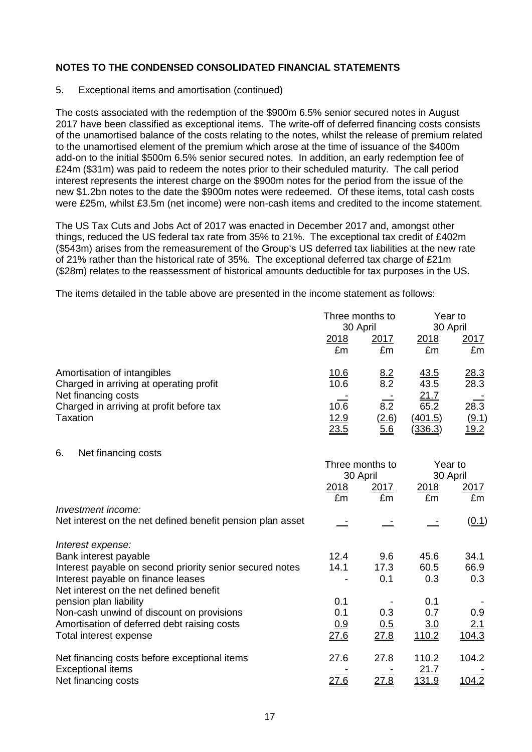### 5. Exceptional items and amortisation (continued)

The costs associated with the redemption of the \$900m 6.5% senior secured notes in August 2017 have been classified as exceptional items. The write-off of deferred financing costs consists of the unamortised balance of the costs relating to the notes, whilst the release of premium related to the unamortised element of the premium which arose at the time of issuance of the \$400m add-on to the initial \$500m 6.5% senior secured notes. In addition, an early redemption fee of £24m (\$31m) was paid to redeem the notes prior to their scheduled maturity. The call period interest represents the interest charge on the \$900m notes for the period from the issue of the new \$1.2bn notes to the date the \$900m notes were redeemed. Of these items, total cash costs were £25m, whilst £3.5m (net income) were non-cash items and credited to the income statement.

The US Tax Cuts and Jobs Act of 2017 was enacted in December 2017 and, amongst other things, reduced the US federal tax rate from 35% to 21%. The exceptional tax credit of £402m (\$543m) arises from the remeasurement of the Group's US deferred tax liabilities at the new rate of 21% rather than the historical rate of 35%. The exceptional deferred tax charge of £21m (\$28m) relates to the reassessment of historical amounts deductible for tax purposes in the US.

The items detailed in the table above are presented in the income statement as follows:

|                                                                             | 2018<br>£m                  | Three months to<br>30 April<br>2017<br>£m | 2018<br>£m                         | Year to<br>30 April<br>2017<br>£m                |
|-----------------------------------------------------------------------------|-----------------------------|-------------------------------------------|------------------------------------|--------------------------------------------------|
| Amortisation of intangibles<br>Charged in arriving at operating profit      | <u>10.6</u><br>10.6         | $\frac{8.2}{8.2}$                         | <u>43.5</u><br>43.5                | 28.3<br>28.3                                     |
| Net financing costs<br>Charged in arriving at profit before tax<br>Taxation | 10.6<br><u>12.9</u><br>23.5 | 8.2<br>(2.6)<br>5.6                       | 21.7<br>65.2<br>(401.5)<br>(336.3) | $28.\overline{3}$<br><u>(9.1)</u><br><u>19.2</u> |
| 6.<br>Net financing costs                                                   |                             | Three months to                           |                                    | Year to                                          |
|                                                                             | 2018                        | 30 April<br>2017                          | <u>2018</u>                        | 30 April<br>2017                                 |
| Investment income:                                                          | £m                          | £m                                        | £m                                 | £m                                               |
| Net interest on the net defined benefit pension plan asset                  |                             |                                           |                                    | (0.1)                                            |
| Interest expense:                                                           |                             |                                           |                                    |                                                  |
| Bank interest payable                                                       | 12.4                        | 9.6                                       | 45.6                               | 34.1                                             |
| Interest payable on second priority senior secured notes                    | 14.1                        | 17.3                                      | 60.5                               | 66.9                                             |
| Interest payable on finance leases                                          |                             | 0.1                                       | 0.3                                | 0.3                                              |
| Net interest on the net defined benefit<br>pension plan liability           | 0.1                         |                                           | 0.1                                |                                                  |
| Non-cash unwind of discount on provisions                                   | 0.1                         | 0.3                                       | 0.7                                | 0.9                                              |
| Amortisation of deferred debt raising costs                                 | 0.9                         | 0.5                                       | 3.0                                | <u>2.1</u>                                       |
| Total interest expense                                                      | 27.6                        | 27.8                                      | 110.2                              | 104.3                                            |
| Net financing costs before exceptional items                                | 27.6                        | 27.8                                      | 110.2                              | 104.2                                            |
| <b>Exceptional items</b>                                                    |                             |                                           | 21.7                               |                                                  |
| Net financing costs                                                         | 27.6                        | 27.8                                      | <u>131.9</u>                       | 104.2                                            |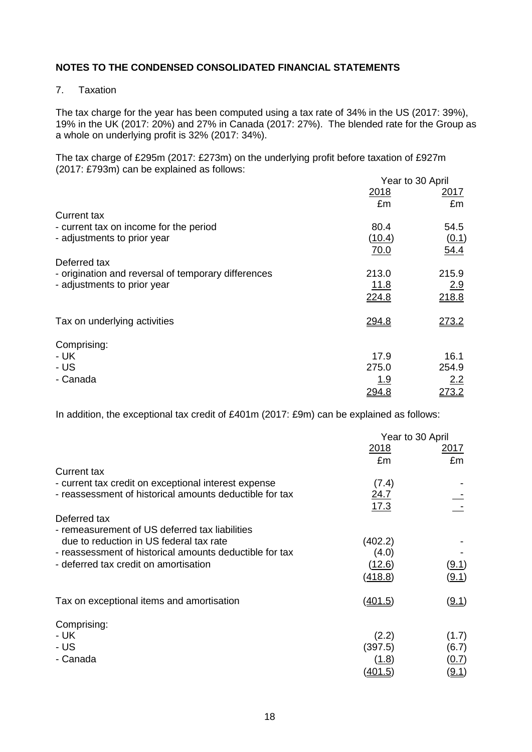# 7. Taxation

The tax charge for the year has been computed using a tax rate of 34% in the US (2017: 39%), 19% in the UK (2017: 20%) and 27% in Canada (2017: 27%). The blended rate for the Group as a whole on underlying profit is 32% (2017: 34%).

The tax charge of £295m (2017: £273m) on the underlying profit before taxation of £927m (2017: £793m) can be explained as follows:

|                                                     | Year to 30 April |             |
|-----------------------------------------------------|------------------|-------------|
|                                                     | 2018             | <u>2017</u> |
|                                                     | £m               | £m          |
| <b>Current tax</b>                                  |                  |             |
| - current tax on income for the period              | 80.4             | 54.5        |
| - adjustments to prior year                         | (10.4)           | (0.1)       |
|                                                     | 70.0             | 54.4        |
| Deferred tax                                        |                  |             |
| - origination and reversal of temporary differences | 213.0            | 215.9       |
| - adjustments to prior year                         | <u>11.8</u>      | 2.9         |
|                                                     | 224.8            | 218.8       |
|                                                     |                  |             |
| Tax on underlying activities                        | 294.8            | 273.2       |
|                                                     |                  |             |
| Comprising:                                         |                  |             |
| - UK                                                | 17.9             | 16.1        |
| - US                                                | 275.0            | 254.9       |
| - Canada                                            | <u>1.9</u>       | 2.2         |
|                                                     | 294.8            | 273.2       |
|                                                     |                  |             |

In addition, the exceptional tax credit of £401m (2017: £9m) can be explained as follows:

|                                                                                                                                                                                               |                                             | Year to 30 April                                 |
|-----------------------------------------------------------------------------------------------------------------------------------------------------------------------------------------------|---------------------------------------------|--------------------------------------------------|
|                                                                                                                                                                                               | <u>2018</u><br>£m                           | 2017<br>£m                                       |
| <b>Current tax</b>                                                                                                                                                                            |                                             |                                                  |
| - current tax credit on exceptional interest expense<br>- reassessment of historical amounts deductible for tax                                                                               | (7.4)<br><u>24.7</u><br>17.3                |                                                  |
| Deferred tax                                                                                                                                                                                  |                                             |                                                  |
| - remeasurement of US deferred tax liabilities<br>due to reduction in US federal tax rate<br>- reassessment of historical amounts deductible for tax<br>- deferred tax credit on amortisation | (402.2)<br>(4.0)<br>(12.6)<br>(418.8)       | <u>(9.1)</u><br>(9.1)                            |
| Tax on exceptional items and amortisation                                                                                                                                                     | <u>(401.5)</u>                              | <u>(9.1)</u>                                     |
| Comprising:<br>- UK<br>- US<br>- Canada                                                                                                                                                       | (2.2)<br>(397.5)<br>(1.8)<br><u>(401.5)</u> | (1.7)<br>(6.7)<br><u>(0.7)</u><br>( <u>9.1</u> ) |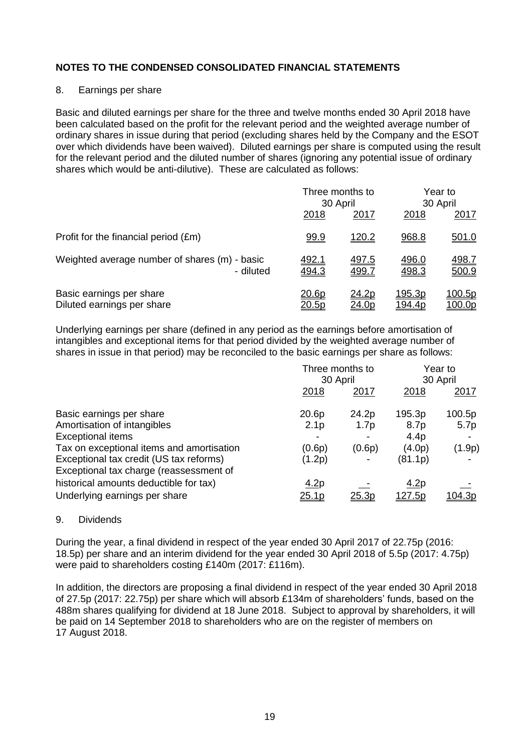# 8. Earnings per share

Basic and diluted earnings per share for the three and twelve months ended 30 April 2018 have been calculated based on the profit for the relevant period and the weighted average number of ordinary shares in issue during that period (excluding shares held by the Company and the ESOT over which dividends have been waived). Diluted earnings per share is computed using the result for the relevant period and the diluted number of shares (ignoring any potential issue of ordinary shares which would be anti-dilutive). These are calculated as follows:

|                                                            |                       | Three months to<br>30 April |                                 | Year to<br>30 April     |  |
|------------------------------------------------------------|-----------------------|-----------------------------|---------------------------------|-------------------------|--|
|                                                            | 2018                  | 2017                        | 2018                            | 2017                    |  |
| Profit for the financial period (£m)                       | <u>99.9</u>           | 120.2                       | 968.8                           | 501.0                   |  |
| Weighted average number of shares (m) - basic<br>- diluted | <u>492.1</u><br>494.3 | 497.5<br>499.7              | 496.0<br>498.3                  | <u>498.7</u><br>500.9   |  |
| Basic earnings per share<br>Diluted earnings per share     | 20.6p<br>20.5p        | 24.2p<br>24.0p              | <u> 195.3p</u><br><u>194.4p</u> | <u>100.5p</u><br>100.0p |  |

Underlying earnings per share (defined in any period as the earnings before amortisation of intangibles and exceptional items for that period divided by the weighted average number of shares in issue in that period) may be reconciled to the basic earnings per share as follows:

|                                                                                    | Three months to<br>30 April |                  | Year to<br>30 April |               |
|------------------------------------------------------------------------------------|-----------------------------|------------------|---------------------|---------------|
|                                                                                    | 2018                        | 2017             | 2018                | 2017          |
| Basic earnings per share                                                           | 20.6p                       | 24.2p            | 195.3p              | 100.5p        |
| Amortisation of intangibles                                                        | 2.1 <sub>p</sub>            | 1.7 <sub>p</sub> | 8.7p                | 5.7p          |
| <b>Exceptional items</b>                                                           |                             |                  | 4.4 <sub>p</sub>    |               |
| Tax on exceptional items and amortisation                                          | (0.6p)                      | (0.6p)           | (4.0p)              | (1.9p)        |
| Exceptional tax credit (US tax reforms)<br>Exceptional tax charge (reassessment of | (1.2p)                      |                  | (81.1p)             |               |
| historical amounts deductible for tax)                                             | 4.2p                        |                  | 4.2p                |               |
| Underlying earnings per share                                                      | <u>25.1p</u>                | <u>25.3p</u>     | <u> 127.5p</u>      | <u>104.3p</u> |

#### 9. Dividends

During the year, a final dividend in respect of the year ended 30 April 2017 of 22.75p (2016: 18.5p) per share and an interim dividend for the year ended 30 April 2018 of 5.5p (2017: 4.75p) were paid to shareholders costing £140m (2017: £116m).

In addition, the directors are proposing a final dividend in respect of the year ended 30 April 2018 of 27.5p (2017: 22.75p) per share which will absorb £134m of shareholders' funds, based on the 488m shares qualifying for dividend at 18 June 2018. Subject to approval by shareholders, it will be paid on 14 September 2018 to shareholders who are on the register of members on 17 August 2018.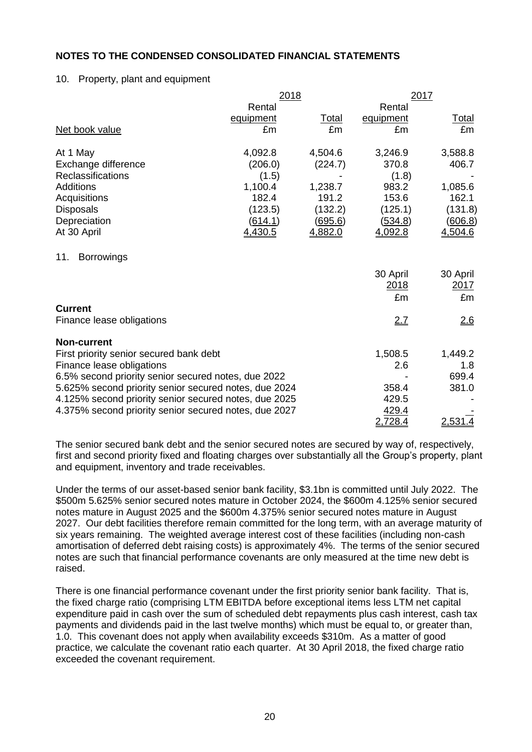### 10. Property, plant and equipment

|                                                       |                | 2018           |             | 2017           |  |
|-------------------------------------------------------|----------------|----------------|-------------|----------------|--|
|                                                       | Rental         |                | Rental      |                |  |
|                                                       | equipment      | <b>Total</b>   | equipment   | <u>Total</u>   |  |
| Net book value                                        | £m             | £m             | £m          | £m             |  |
| At 1 May                                              | 4,092.8        | 4,504.6        | 3,246.9     | 3,588.8        |  |
| Exchange difference                                   | (206.0)        | (224.7)        | 370.8       | 406.7          |  |
| <b>Reclassifications</b>                              | (1.5)          |                | (1.8)       |                |  |
| <b>Additions</b>                                      | 1,100.4        | 1,238.7        | 983.2       | 1,085.6        |  |
| Acquisitions                                          | 182.4          | 191.2          | 153.6       | 162.1          |  |
| <b>Disposals</b>                                      | (123.5)        | (132.2)        | (125.1)     | (131.8)        |  |
| Depreciation                                          | <u>(614.1)</u> | <u>(695.6)</u> | (534.8)     | <u>(606.8)</u> |  |
| At 30 April                                           | 4,430.5        | 4,882.0        | 4,092.8     | 4,504.6        |  |
| 11.<br><b>Borrowings</b>                              |                |                |             |                |  |
|                                                       |                |                | 30 April    | 30 April       |  |
|                                                       |                |                | <u>2018</u> | <u>2017</u>    |  |
|                                                       |                |                | £m          | £m             |  |
| <b>Current</b>                                        |                |                |             |                |  |
| Finance lease obligations                             |                |                | 2.7         | 26             |  |
| <b>Non-current</b>                                    |                |                |             |                |  |
| First priority senior secured bank debt               |                |                | 1,508.5     | 1,449.2        |  |
| Finance lease obligations                             |                |                | 2.6         | 1.8            |  |
| 6.5% second priority senior secured notes, due 2022   |                |                |             | 699.4          |  |
| 5.625% second priority senior secured notes, due 2024 |                |                | 358.4       | 381.0          |  |
| 4.125% second priority senior secured notes, due 2025 |                |                | 429.5       |                |  |
| 4.375% second priority senior secured notes, due 2027 |                |                | 429.4       |                |  |
|                                                       |                |                | 2,728.4     | 2,531.4        |  |

The senior secured bank debt and the senior secured notes are secured by way of, respectively, first and second priority fixed and floating charges over substantially all the Group's property, plant and equipment, inventory and trade receivables.

Under the terms of our asset-based senior bank facility, \$3.1bn is committed until July 2022. The \$500m 5.625% senior secured notes mature in October 2024, the \$600m 4.125% senior secured notes mature in August 2025 and the \$600m 4.375% senior secured notes mature in August 2027. Our debt facilities therefore remain committed for the long term, with an average maturity of six years remaining. The weighted average interest cost of these facilities (including non-cash amortisation of deferred debt raising costs) is approximately 4%. The terms of the senior secured notes are such that financial performance covenants are only measured at the time new debt is raised.

There is one financial performance covenant under the first priority senior bank facility. That is, the fixed charge ratio (comprising LTM EBITDA before exceptional items less LTM net capital expenditure paid in cash over the sum of scheduled debt repayments plus cash interest, cash tax payments and dividends paid in the last twelve months) which must be equal to, or greater than, 1.0. This covenant does not apply when availability exceeds \$310m. As a matter of good practice, we calculate the covenant ratio each quarter. At 30 April 2018, the fixed charge ratio exceeded the covenant requirement.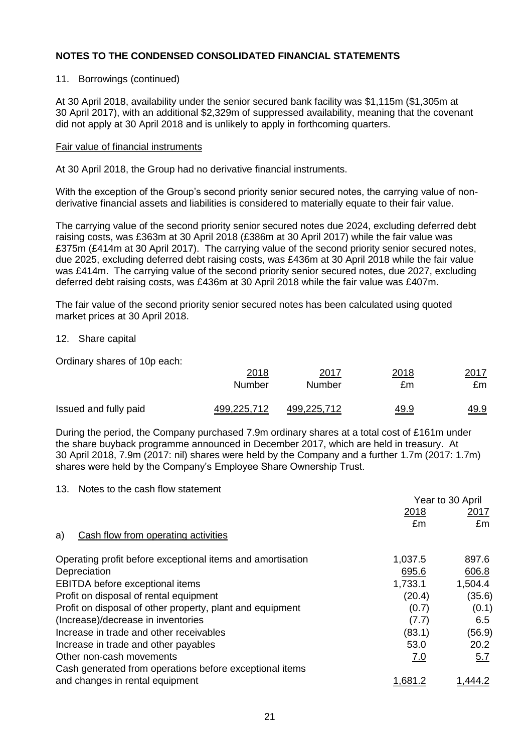### 11. Borrowings (continued)

At 30 April 2018, availability under the senior secured bank facility was \$1,115m (\$1,305m at 30 April 2017), with an additional \$2,329m of suppressed availability, meaning that the covenant did not apply at 30 April 2018 and is unlikely to apply in forthcoming quarters.

#### Fair value of financial instruments

At 30 April 2018, the Group had no derivative financial instruments.

With the exception of the Group's second priority senior secured notes, the carrying value of nonderivative financial assets and liabilities is considered to materially equate to their fair value.

The carrying value of the second priority senior secured notes due 2024, excluding deferred debt raising costs, was £363m at 30 April 2018 (£386m at 30 April 2017) while the fair value was £375m (£414m at 30 April 2017). The carrying value of the second priority senior secured notes, due 2025, excluding deferred debt raising costs, was £436m at 30 April 2018 while the fair value was £414m. The carrying value of the second priority senior secured notes, due 2027, excluding deferred debt raising costs, was £436m at 30 April 2018 while the fair value was £407m.

The fair value of the second priority senior secured notes has been calculated using quoted market prices at 30 April 2018.

### 12. Share capital

Ordinary shares of 10p each:

|                       | 2018        | 2017               | 2018        | 2017        |
|-----------------------|-------------|--------------------|-------------|-------------|
|                       | Number      | Number             | £m          | £m          |
| Issued and fully paid | 499,225,712 | <u>499,225,712</u> | <u>49.9</u> | <u>49.9</u> |

During the period, the Company purchased 7.9m ordinary shares at a total cost of £161m under the share buyback programme announced in December 2017, which are held in treasury. At 30 April 2018, 7.9m (2017: nil) shares were held by the Company and a further 1.7m (2017: 1.7m) shares were held by the Company's Employee Share Ownership Trust.

 $Y_{\text{c}} = 1000 \text{ A} \cdot \text{s}^{-1}$ 

13. Notes to the cash flow statement

|                                                            | Year to 30 April |            |
|------------------------------------------------------------|------------------|------------|
|                                                            | 2018             | 2017       |
|                                                            | £m               | £m         |
| Cash flow from operating activities<br>a)                  |                  |            |
| Operating profit before exceptional items and amortisation | 1,037.5          | 897.6      |
| Depreciation                                               | 695.6            | 606.8      |
| EBITDA before exceptional items                            | 1,733.1          | 1,504.4    |
| Profit on disposal of rental equipment                     | (20.4)           | (35.6)     |
| Profit on disposal of other property, plant and equipment  | (0.7)            | (0.1)      |
| (Increase)/decrease in inventories                         | (7.7)            | 6.5        |
| Increase in trade and other receivables                    | (83.1)           | (56.9)     |
| Increase in trade and other payables                       | 53.0             | 20.2       |
| Other non-cash movements                                   | 7.0              | <u>5.7</u> |
| Cash generated from operations before exceptional items    |                  |            |
| and changes in rental equipment                            | 1.681            |            |
|                                                            |                  |            |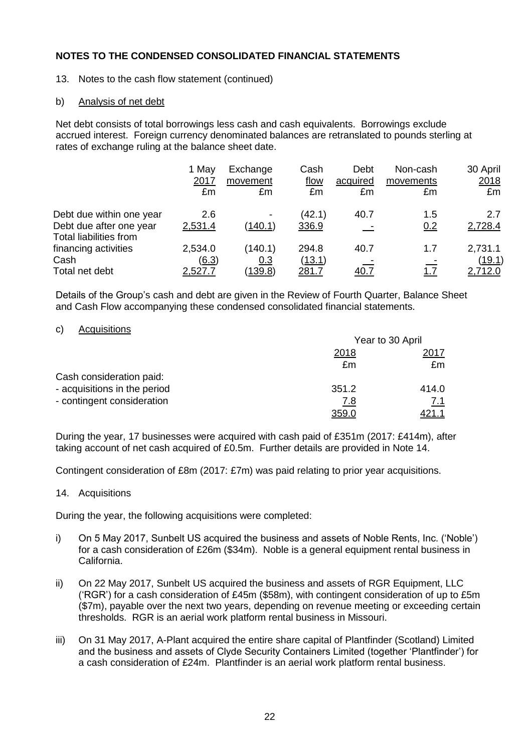13. Notes to the cash flow statement (continued)

### b) Analysis of net debt

Net debt consists of total borrowings less cash and cash equivalents. Borrowings exclude accrued interest. Foreign currency denominated balances are retranslated to pounds sterling at rates of exchange ruling at the balance sheet date.

|                                                          | 1 May<br>2017<br>£m | Exchange<br>movement<br>£m | Cash<br>flow<br>£m | Debt<br>acquired<br>£m | Non-cash<br>movements<br>£m | 30 April<br>2018<br>£m |
|----------------------------------------------------------|---------------------|----------------------------|--------------------|------------------------|-----------------------------|------------------------|
| Debt due within one year                                 | 2.6                 |                            | (42.1)             | 40.7                   | 1.5                         | 2.7                    |
| Debt due after one year<br><b>Total liabilities from</b> | 2,531.4             | (140.1)                    | 336.9              |                        | 0.2                         | 2,728.4                |
| financing activities                                     | 2,534.0             | (140.1)                    | 294.8              | 40.7                   | 1.7                         | 2,731.1                |
| Cash                                                     | (6.3)               | 0.3                        | (13.1)             |                        |                             | (19.1)                 |
| Total net debt                                           | 2,527.7             | <u>(139.8)</u>             | 281.7              | <u>40.7</u>            | <u>1.7</u>                  | 2,712.0                |

Details of the Group's cash and debt are given in the Review of Fourth Quarter, Balance Sheet and Cash Flow accompanying these condensed consolidated financial statements.

#### c) Acquisitions

|                              | Year to 30 April |               |  |
|------------------------------|------------------|---------------|--|
|                              | 2018             | 2017          |  |
|                              | £m               | £m            |  |
| Cash consideration paid:     |                  |               |  |
| - acquisitions in the period | 351.2            | 414.0         |  |
| - contingent consideration   | <u>7.8</u>       | 7.1           |  |
|                              | 359.C            | <u> 21.</u> 1 |  |

During the year, 17 businesses were acquired with cash paid of £351m (2017: £414m), after taking account of net cash acquired of £0.5m. Further details are provided in Note 14.

Contingent consideration of £8m (2017: £7m) was paid relating to prior year acquisitions.

14. Acquisitions

During the year, the following acquisitions were completed:

- i) On 5 May 2017, Sunbelt US acquired the business and assets of Noble Rents, Inc. ('Noble') for a cash consideration of £26m (\$34m). Noble is a general equipment rental business in California.
- ii) On 22 May 2017, Sunbelt US acquired the business and assets of RGR Equipment, LLC ('RGR') for a cash consideration of £45m (\$58m), with contingent consideration of up to £5m (\$7m), payable over the next two years, depending on revenue meeting or exceeding certain thresholds. RGR is an aerial work platform rental business in Missouri.
- iii) On 31 May 2017, A-Plant acquired the entire share capital of Plantfinder (Scotland) Limited and the business and assets of Clyde Security Containers Limited (together 'Plantfinder') for a cash consideration of £24m. Plantfinder is an aerial work platform rental business.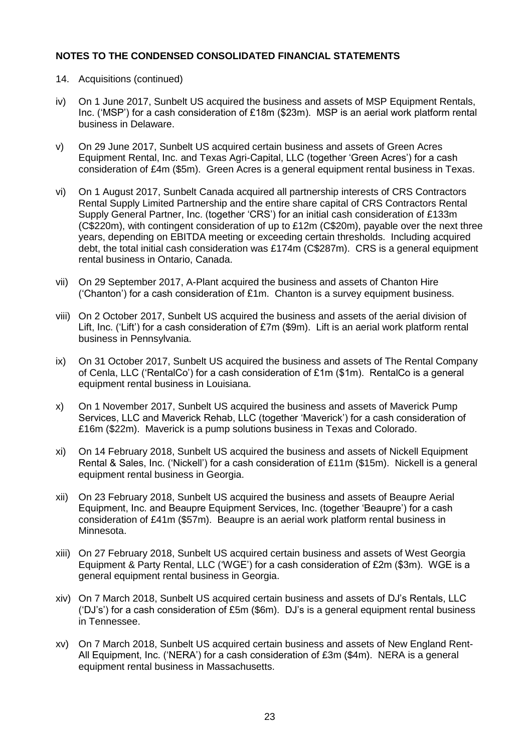- 14. Acquisitions (continued)
- iv) On 1 June 2017, Sunbelt US acquired the business and assets of MSP Equipment Rentals, Inc. ('MSP') for a cash consideration of £18m (\$23m). MSP is an aerial work platform rental business in Delaware.
- v) On 29 June 2017, Sunbelt US acquired certain business and assets of Green Acres Equipment Rental, Inc. and Texas Agri-Capital, LLC (together 'Green Acres') for a cash consideration of £4m (\$5m). Green Acres is a general equipment rental business in Texas.
- vi) On 1 August 2017, Sunbelt Canada acquired all partnership interests of CRS Contractors Rental Supply Limited Partnership and the entire share capital of CRS Contractors Rental Supply General Partner, Inc. (together 'CRS') for an initial cash consideration of £133m (C\$220m), with contingent consideration of up to  $£12m$  (C\$20m), payable over the next three years, depending on EBITDA meeting or exceeding certain thresholds. Including acquired debt, the total initial cash consideration was £174m (C\$287m). CRS is a general equipment rental business in Ontario, Canada.
- vii) On 29 September 2017, A-Plant acquired the business and assets of Chanton Hire ('Chanton') for a cash consideration of £1m. Chanton is a survey equipment business.
- viii) On 2 October 2017, Sunbelt US acquired the business and assets of the aerial division of Lift, Inc. ('Lift') for a cash consideration of £7m (\$9m). Lift is an aerial work platform rental business in Pennsylvania.
- ix) On 31 October 2017, Sunbelt US acquired the business and assets of The Rental Company of Cenla, LLC ('RentalCo') for a cash consideration of £1m (\$1m). RentalCo is a general equipment rental business in Louisiana.
- x) On 1 November 2017, Sunbelt US acquired the business and assets of Maverick Pump Services, LLC and Maverick Rehab, LLC (together 'Maverick') for a cash consideration of £16m (\$22m). Maverick is a pump solutions business in Texas and Colorado.
- xi) On 14 February 2018, Sunbelt US acquired the business and assets of Nickell Equipment Rental & Sales, Inc. ('Nickell') for a cash consideration of £11m (\$15m). Nickell is a general equipment rental business in Georgia.
- xii) On 23 February 2018, Sunbelt US acquired the business and assets of Beaupre Aerial Equipment, Inc. and Beaupre Equipment Services, Inc. (together 'Beaupre') for a cash consideration of £41m (\$57m). Beaupre is an aerial work platform rental business in Minnesota.
- xiii) On 27 February 2018, Sunbelt US acquired certain business and assets of West Georgia Equipment & Party Rental, LLC ('WGE') for a cash consideration of £2m (\$3m). WGE is a general equipment rental business in Georgia.
- xiv) On 7 March 2018, Sunbelt US acquired certain business and assets of DJ's Rentals, LLC ('DJ's') for a cash consideration of £5m (\$6m). DJ's is a general equipment rental business in Tennessee.
- xv) On 7 March 2018, Sunbelt US acquired certain business and assets of New England Rent-All Equipment, Inc. ('NERA') for a cash consideration of £3m (\$4m). NERA is a general equipment rental business in Massachusetts.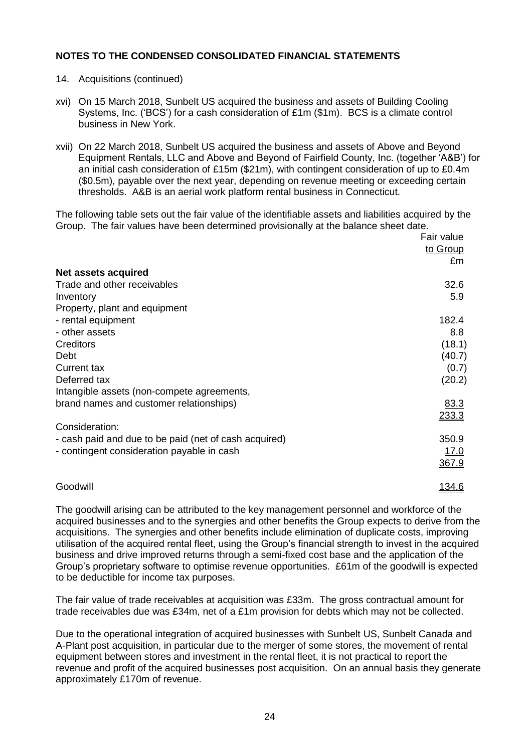- 14. Acquisitions (continued)
- xvi) On 15 March 2018, Sunbelt US acquired the business and assets of Building Cooling Systems, Inc. ('BCS') for a cash consideration of £1m (\$1m). BCS is a climate control business in New York.
- xvii) On 22 March 2018, Sunbelt US acquired the business and assets of Above and Beyond Equipment Rentals, LLC and Above and Beyond of Fairfield County, Inc. (together 'A&B') for an initial cash consideration of £15m (\$21m), with contingent consideration of up to £0.4m (\$0.5m), payable over the next year, depending on revenue meeting or exceeding certain thresholds. A&B is an aerial work platform rental business in Connecticut.

The following table sets out the fair value of the identifiable assets and liabilities acquired by the Group. The fair values have been determined provisionally at the balance sheet date.

|                                                       | Fair value    |
|-------------------------------------------------------|---------------|
|                                                       | to Group      |
|                                                       | £m            |
| <b>Net assets acquired</b>                            |               |
| Trade and other receivables                           | 32.6          |
| Inventory                                             | 5.9           |
| Property, plant and equipment                         |               |
| - rental equipment                                    | 182.4         |
| - other assets                                        | 8.8           |
| Creditors                                             | (18.1)        |
| Debt                                                  | (40.7)        |
| <b>Current tax</b>                                    | (0.7)         |
| Deferred tax                                          | (20.2)        |
| Intangible assets (non-compete agreements,            |               |
| brand names and customer relationships)               | 83.3          |
|                                                       | 233.3         |
| Consideration:                                        |               |
| - cash paid and due to be paid (net of cash acquired) | 350.9         |
| - contingent consideration payable in cash            | 17.0          |
|                                                       | 367.9         |
|                                                       |               |
| Goodwill                                              | <u> 134.6</u> |

The goodwill arising can be attributed to the key management personnel and workforce of the acquired businesses and to the synergies and other benefits the Group expects to derive from the acquisitions. The synergies and other benefits include elimination of duplicate costs, improving utilisation of the acquired rental fleet, using the Group's financial strength to invest in the acquired business and drive improved returns through a semi-fixed cost base and the application of the Group's proprietary software to optimise revenue opportunities. £61m of the goodwill is expected to be deductible for income tax purposes.

The fair value of trade receivables at acquisition was £33m. The gross contractual amount for trade receivables due was £34m, net of a £1m provision for debts which may not be collected.

Due to the operational integration of acquired businesses with Sunbelt US, Sunbelt Canada and A-Plant post acquisition, in particular due to the merger of some stores, the movement of rental equipment between stores and investment in the rental fleet, it is not practical to report the revenue and profit of the acquired businesses post acquisition. On an annual basis they generate approximately £170m of revenue.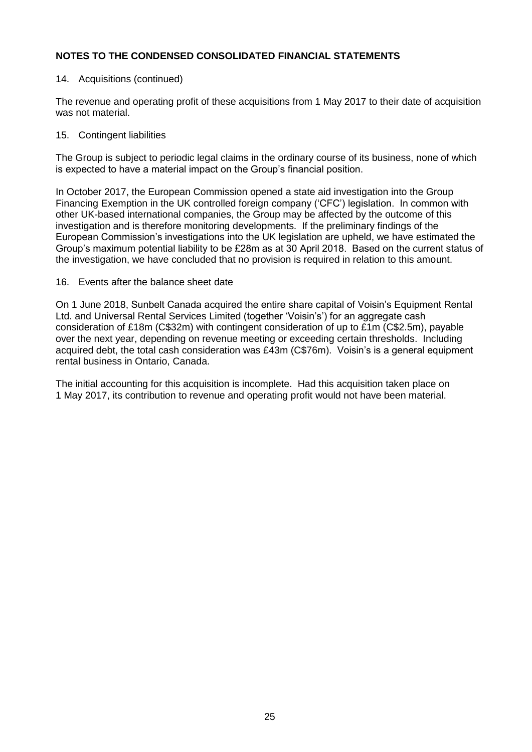### 14. Acquisitions (continued)

The revenue and operating profit of these acquisitions from 1 May 2017 to their date of acquisition was not material.

### 15. Contingent liabilities

The Group is subject to periodic legal claims in the ordinary course of its business, none of which is expected to have a material impact on the Group's financial position.

In October 2017, the European Commission opened a state aid investigation into the Group Financing Exemption in the UK controlled foreign company ('CFC') legislation. In common with other UK-based international companies, the Group may be affected by the outcome of this investigation and is therefore monitoring developments. If the preliminary findings of the European Commission's investigations into the UK legislation are upheld, we have estimated the Group's maximum potential liability to be £28m as at 30 April 2018. Based on the current status of the investigation, we have concluded that no provision is required in relation to this amount.

### 16. Events after the balance sheet date

On 1 June 2018, Sunbelt Canada acquired the entire share capital of Voisin's Equipment Rental Ltd. and Universal Rental Services Limited (together 'Voisin's') for an aggregate cash consideration of £18m (C\$32m) with contingent consideration of up to £1m (C\$2.5m), payable over the next year, depending on revenue meeting or exceeding certain thresholds. Including acquired debt, the total cash consideration was £43m (C\$76m). Voisin's is a general equipment rental business in Ontario, Canada.

The initial accounting for this acquisition is incomplete. Had this acquisition taken place on 1 May 2017, its contribution to revenue and operating profit would not have been material.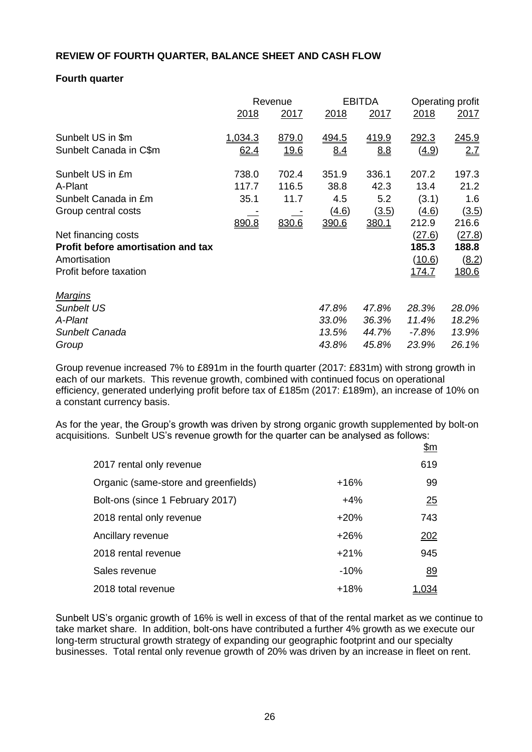# **REVIEW OF FOURTH QUARTER, BALANCE SHEET AND CASH FLOW**

# **Fourth quarter**

|                                    | Revenue |              | <b>EBITDA</b> |              | Operating profit |               |
|------------------------------------|---------|--------------|---------------|--------------|------------------|---------------|
|                                    | 2018    | 2017         | 2018          | 2017         | <u>2018</u>      | <u>2017</u>   |
| Sunbelt US in \$m                  | 1,034.3 | 879.0        | 494.5         | <u>419.9</u> | <u> 292.3</u>    | <u> 245.9</u> |
| Sunbelt Canada in C\$m             | 62.4    | <u> 19.6</u> | 8.4           | 8.8          | <u>(4.9)</u>     | 2.7           |
| Sunbelt US in £m                   | 738.0   | 702.4        | 351.9         | 336.1        | 207.2            | 197.3         |
| A-Plant                            | 117.7   | 116.5        | 38.8          | 42.3         | 13.4             | 21.2          |
| Sunbelt Canada in £m               | 35.1    | 11.7         | 4.5           | 5.2          | (3.1)            | 1.6           |
| Group central costs                |         |              | (4.6)         | (3.5)        | (4.6)            | (3.5)         |
|                                    | 890.8   | 830.6        | 390.6         | 380.1        | 212.9            | 216.6         |
| Net financing costs                |         |              |               |              | (27.6)           | (27.8)        |
| Profit before amortisation and tax |         |              |               |              | 185.3            | 188.8         |
| Amortisation                       |         |              |               |              | (10.6)           | (8.2)         |
| Profit before taxation             |         |              |               |              | <u>174.7</u>     | <u>180.6</u>  |
| <b>Margins</b>                     |         |              |               |              |                  |               |
| <b>Sunbelt US</b>                  |         |              | 47.8%         | 47.8%        | 28.3%            | 28.0%         |
| A-Plant                            |         |              | 33.0%         | 36.3%        | 11.4%            | 18.2%         |
| Sunbelt Canada                     |         |              | 13.5%         | 44.7%        | $-7.8%$          | 13.9%         |
| Group                              |         |              | 43.8%         | 45.8%        | 23.9%            | 26.1%         |

Group revenue increased 7% to £891m in the fourth quarter (2017: £831m) with strong growth in each of our markets. This revenue growth, combined with continued focus on operational efficiency, generated underlying profit before tax of £185m (2017: £189m), an increase of 10% on a constant currency basis.

As for the year, the Group's growth was driven by strong organic growth supplemented by bolt-on acquisitions. Sunbelt US's revenue growth for the quarter can be analysed as follows:

|                                      |        | <u>\$m</u> |
|--------------------------------------|--------|------------|
| 2017 rental only revenue             |        | 619        |
| Organic (same-store and greenfields) | $+16%$ | 99         |
| Bolt-ons (since 1 February 2017)     | $+4%$  | 25         |
| 2018 rental only revenue             | $+20%$ | 743        |
| Ancillary revenue                    | $+26%$ | 202        |
| 2018 rental revenue                  | $+21%$ | 945        |
| Sales revenue                        | $-10%$ | 89         |
| 2018 total revenue                   | $+18%$ |            |

Sunbelt US's organic growth of 16% is well in excess of that of the rental market as we continue to take market share. In addition, bolt-ons have contributed a further 4% growth as we execute our long-term structural growth strategy of expanding our geographic footprint and our specialty businesses. Total rental only revenue growth of 20% was driven by an increase in fleet on rent.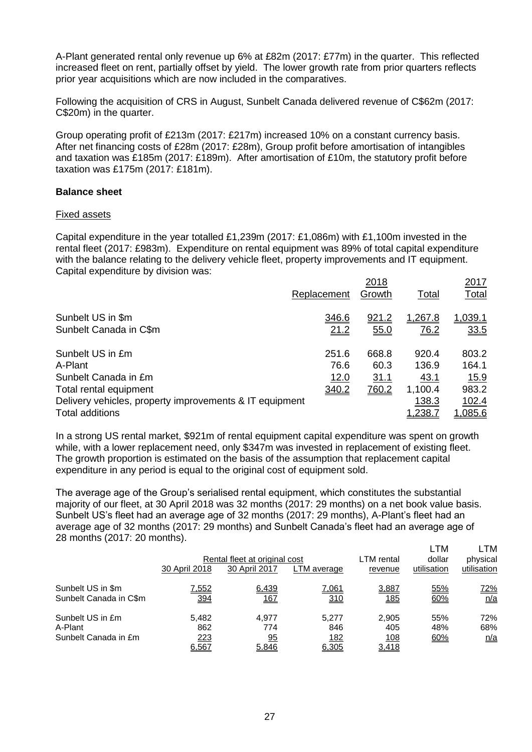A-Plant generated rental only revenue up 6% at £82m (2017: £77m) in the quarter. This reflected increased fleet on rent, partially offset by yield. The lower growth rate from prior quarters reflects prior year acquisitions which are now included in the comparatives.

Following the acquisition of CRS in August, Sunbelt Canada delivered revenue of C\$62m (2017: C\$20m) in the quarter.

Group operating profit of £213m (2017: £217m) increased 10% on a constant currency basis. After net financing costs of £28m (2017: £28m), Group profit before amortisation of intangibles and taxation was £185m (2017: £189m). After amortisation of £10m, the statutory profit before taxation was £175m (2017: £181m).

### **Balance sheet**

#### Fixed assets

Capital expenditure in the year totalled £1,239m (2017: £1,086m) with £1,100m invested in the rental fleet (2017: £983m). Expenditure on rental equipment was 89% of total capital expenditure with the balance relating to the delivery vehicle fleet, property improvements and IT equipment. Capital expenditure by division was:

|                                                         | Replacement | 2018<br>Growth | <b>Total</b>   | 2017<br>Total  |
|---------------------------------------------------------|-------------|----------------|----------------|----------------|
| Sunbelt US in \$m                                       | 346.6       | <u>921.2</u>   | 1,267.8        | 1,039.1        |
| Sunbelt Canada in C\$m                                  | 21.2        | 55.0           | <u>76.2</u>    | 33.5           |
| Sunbelt US in £m                                        | 251.6       | 668.8          | 920.4          | 803.2          |
| A-Plant                                                 | 76.6        | 60.3           | 136.9          | 164.1          |
| Sunbelt Canada in £m                                    | 12.0        | 31.1           | 43.1           | <u>15.9</u>    |
| Total rental equipment                                  | 340.2       | 760.2          | 1,100.4        | 983.2          |
| Delivery vehicles, property improvements & IT equipment |             |                | 138.3          | 102.4          |
| Total additions                                         |             |                | <u>1,238.7</u> | <u>1,085.6</u> |
|                                                         |             |                |                |                |

In a strong US rental market, \$921m of rental equipment capital expenditure was spent on growth while, with a lower replacement need, only \$347m was invested in replacement of existing fleet. The growth proportion is estimated on the basis of the assumption that replacement capital expenditure in any period is equal to the original cost of equipment sold.

The average age of the Group's serialised rental equipment, which constitutes the substantial majority of our fleet, at 30 April 2018 was 32 months (2017: 29 months) on a net book value basis. Sunbelt US's fleet had an average age of 32 months (2017: 29 months), A-Plant's fleet had an average age of 32 months (2017: 29 months) and Sunbelt Canada's fleet had an average age of 28 months (2017: 20 months).  $L T M$   $L T M$ 

|                        |               | Rental fleet at original cost |              | LTM rental | LIVI<br>dollar | ᆫᆝᄢ<br>physical |
|------------------------|---------------|-------------------------------|--------------|------------|----------------|-----------------|
|                        | 30 April 2018 | 30 April 2017                 | LTM average  | revenue    | utilisation    | utilisation     |
| Sunbelt US in \$m      | <u>7,552</u>  | 6,439                         | <u>7,061</u> | 3,887      | 55%            | <u>72%</u>      |
| Sunbelt Canada in C\$m | 394           | <u> 167</u>                   | 310          | <u>185</u> | 60%            | n/a             |
| Sunbelt US in £m       | 5.482         | 4.977                         | 5.277        | 2.905      | 55%            | 72%             |
| A-Plant                | 862           | 774                           | 846          | 405        | 48%            | 68%             |
| Sunbelt Canada in £m   | 223           | 95                            | <u>182</u>   | 108        | 60%            | n/a             |
|                        | 6,567         | 5.846                         | 6,305        | 3,418      |                |                 |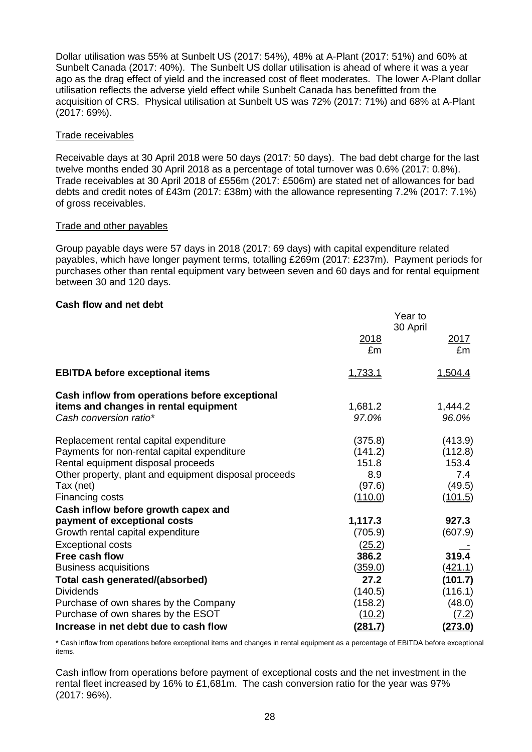Dollar utilisation was 55% at Sunbelt US (2017: 54%), 48% at A-Plant (2017: 51%) and 60% at Sunbelt Canada (2017: 40%). The Sunbelt US dollar utilisation is ahead of where it was a year ago as the drag effect of yield and the increased cost of fleet moderates. The lower A-Plant dollar utilisation reflects the adverse yield effect while Sunbelt Canada has benefitted from the acquisition of CRS. Physical utilisation at Sunbelt US was 72% (2017: 71%) and 68% at A-Plant (2017: 69%).

# Trade receivables

Receivable days at 30 April 2018 were 50 days (2017: 50 days). The bad debt charge for the last twelve months ended 30 April 2018 as a percentage of total turnover was 0.6% (2017: 0.8%). Trade receivables at 30 April 2018 of £556m (2017: £506m) are stated net of allowances for bad debts and credit notes of £43m (2017: £38m) with the allowance representing 7.2% (2017: 7.1%) of gross receivables.

# Trade and other payables

Group payable days were 57 days in 2018 (2017: 69 days) with capital expenditure related payables, which have longer payment terms, totalling £269m (2017: £237m). Payment periods for purchases other than rental equipment vary between seven and 60 days and for rental equipment between 30 and 120 days.

# **Cash flow and net debt**

|                                                                 |                  | Year to<br>30 April |
|-----------------------------------------------------------------|------------------|---------------------|
|                                                                 | 2018<br>£m       | <u>2017</u><br>£m   |
| <b>EBITDA before exceptional items</b>                          | 1,733.1          | <u>1,504.4</u>      |
| Cash inflow from operations before exceptional                  |                  |                     |
| items and changes in rental equipment<br>Cash conversion ratio* | 1,681.2<br>97.0% | 1,444.2<br>96.0%    |
| Replacement rental capital expenditure                          | (375.8)          | (413.9)             |
| Payments for non-rental capital expenditure                     | (141.2)          | (112.8)             |
| Rental equipment disposal proceeds                              | 151.8            | 153.4               |
| Other property, plant and equipment disposal proceeds           | 8.9              | 7.4                 |
| Tax (net)                                                       | (97.6)           | (49.5)              |
| Financing costs                                                 | (110.0)          | (101.5)             |
| Cash inflow before growth capex and                             |                  |                     |
| payment of exceptional costs                                    | 1,117.3          | 927.3               |
| Growth rental capital expenditure                               | (705.9)          | (607.9)             |
| <b>Exceptional costs</b>                                        | (25.2)           |                     |
| Free cash flow                                                  | 386.2            | 319.4               |
| <b>Business acquisitions</b>                                    | <u>(359.0)</u>   | (421.1)             |
| Total cash generated/(absorbed)                                 | 27.2             | (101.7)             |
| <b>Dividends</b>                                                | (140.5)          | (116.1)             |
| Purchase of own shares by the Company                           | (158.2)          | (48.0)              |
| Purchase of own shares by the ESOT                              | (10.2)           | (7.2)               |
| Increase in net debt due to cash flow                           | <u>(281.7)</u>   | <u>(273.0)</u>      |

\* Cash inflow from operations before exceptional items and changes in rental equipment as a percentage of EBITDA before exceptional items.

Cash inflow from operations before payment of exceptional costs and the net investment in the rental fleet increased by 16% to £1,681m. The cash conversion ratio for the year was 97% (2017: 96%).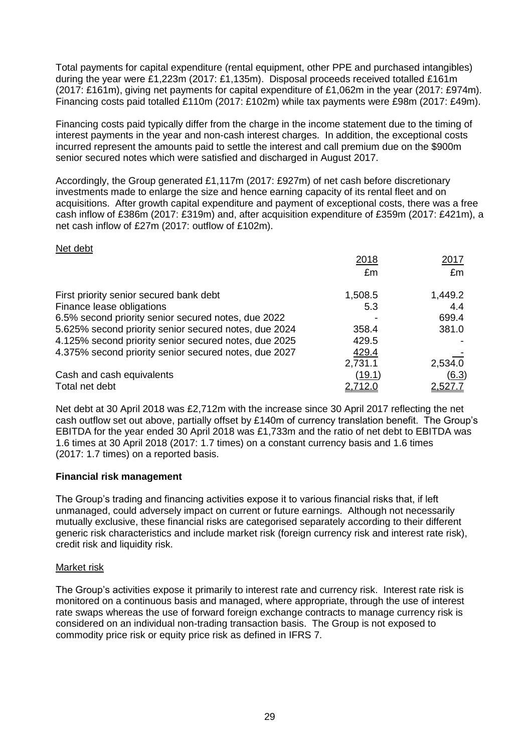Total payments for capital expenditure (rental equipment, other PPE and purchased intangibles) during the year were £1,223m (2017: £1,135m). Disposal proceeds received totalled £161m (2017: £161m), giving net payments for capital expenditure of £1,062m in the year (2017: £974m). Financing costs paid totalled £110m (2017: £102m) while tax payments were £98m (2017: £49m).

Financing costs paid typically differ from the charge in the income statement due to the timing of interest payments in the year and non-cash interest charges. In addition, the exceptional costs incurred represent the amounts paid to settle the interest and call premium due on the \$900m senior secured notes which were satisfied and discharged in August 2017.

Accordingly, the Group generated £1,117m (2017: £927m) of net cash before discretionary investments made to enlarge the size and hence earning capacity of its rental fleet and on acquisitions. After growth capital expenditure and payment of exceptional costs, there was a free cash inflow of £386m (2017: £319m) and, after acquisition expenditure of £359m (2017: £421m), a net cash inflow of £27m (2017: outflow of £102m).

### Net debt

|                                                       | 2018    | 2017           |
|-------------------------------------------------------|---------|----------------|
|                                                       | £m      | £m             |
| First priority senior secured bank debt               | 1,508.5 | 1,449.2        |
| Finance lease obligations                             | 5.3     | 4.4            |
| 6.5% second priority senior secured notes, due 2022   |         | 699.4          |
| 5.625% second priority senior secured notes, due 2024 | 358.4   | 381.0          |
| 4.125% second priority senior secured notes, due 2025 | 429.5   |                |
| 4.375% second priority senior secured notes, due 2027 | 429.4   |                |
|                                                       | 2,731.1 | 2,534.0        |
| Cash and cash equivalents                             | (19.1)  | (6.3)          |
| Total net debt                                        | 2,712.0 | <u>2,527.7</u> |

Net debt at 30 April 2018 was £2,712m with the increase since 30 April 2017 reflecting the net cash outflow set out above, partially offset by £140m of currency translation benefit. The Group's EBITDA for the year ended 30 April 2018 was £1,733m and the ratio of net debt to EBITDA was 1.6 times at 30 April 2018 (2017: 1.7 times) on a constant currency basis and 1.6 times (2017: 1.7 times) on a reported basis.

# **Financial risk management**

The Group's trading and financing activities expose it to various financial risks that, if left unmanaged, could adversely impact on current or future earnings. Although not necessarily mutually exclusive, these financial risks are categorised separately according to their different generic risk characteristics and include market risk (foreign currency risk and interest rate risk), credit risk and liquidity risk.

# Market risk

The Group's activities expose it primarily to interest rate and currency risk. Interest rate risk is monitored on a continuous basis and managed, where appropriate, through the use of interest rate swaps whereas the use of forward foreign exchange contracts to manage currency risk is considered on an individual non-trading transaction basis. The Group is not exposed to commodity price risk or equity price risk as defined in IFRS 7.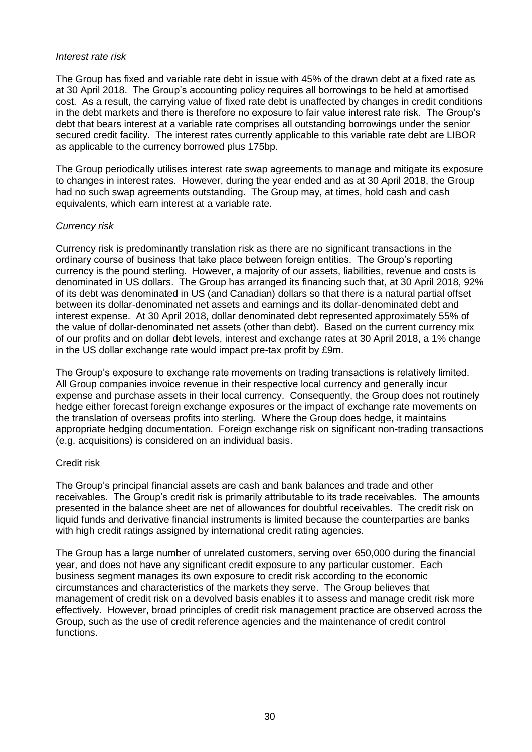### *Interest rate risk*

The Group has fixed and variable rate debt in issue with 45% of the drawn debt at a fixed rate as at 30 April 2018. The Group's accounting policy requires all borrowings to be held at amortised cost. As a result, the carrying value of fixed rate debt is unaffected by changes in credit conditions in the debt markets and there is therefore no exposure to fair value interest rate risk. The Group's debt that bears interest at a variable rate comprises all outstanding borrowings under the senior secured credit facility. The interest rates currently applicable to this variable rate debt are LIBOR as applicable to the currency borrowed plus 175bp.

The Group periodically utilises interest rate swap agreements to manage and mitigate its exposure to changes in interest rates. However, during the year ended and as at 30 April 2018, the Group had no such swap agreements outstanding. The Group may, at times, hold cash and cash equivalents, which earn interest at a variable rate.

# *Currency risk*

Currency risk is predominantly translation risk as there are no significant transactions in the ordinary course of business that take place between foreign entities. The Group's reporting currency is the pound sterling. However, a majority of our assets, liabilities, revenue and costs is denominated in US dollars. The Group has arranged its financing such that, at 30 April 2018, 92% of its debt was denominated in US (and Canadian) dollars so that there is a natural partial offset between its dollar-denominated net assets and earnings and its dollar-denominated debt and interest expense. At 30 April 2018, dollar denominated debt represented approximately 55% of the value of dollar-denominated net assets (other than debt). Based on the current currency mix of our profits and on dollar debt levels, interest and exchange rates at 30 April 2018, a 1% change in the US dollar exchange rate would impact pre-tax profit by £9m.

The Group's exposure to exchange rate movements on trading transactions is relatively limited. All Group companies invoice revenue in their respective local currency and generally incur expense and purchase assets in their local currency. Consequently, the Group does not routinely hedge either forecast foreign exchange exposures or the impact of exchange rate movements on the translation of overseas profits into sterling. Where the Group does hedge, it maintains appropriate hedging documentation. Foreign exchange risk on significant non-trading transactions (e.g. acquisitions) is considered on an individual basis.

# Credit risk

The Group's principal financial assets are cash and bank balances and trade and other receivables. The Group's credit risk is primarily attributable to its trade receivables. The amounts presented in the balance sheet are net of allowances for doubtful receivables. The credit risk on liquid funds and derivative financial instruments is limited because the counterparties are banks with high credit ratings assigned by international credit rating agencies.

The Group has a large number of unrelated customers, serving over 650,000 during the financial year, and does not have any significant credit exposure to any particular customer. Each business segment manages its own exposure to credit risk according to the economic circumstances and characteristics of the markets they serve. The Group believes that management of credit risk on a devolved basis enables it to assess and manage credit risk more effectively. However, broad principles of credit risk management practice are observed across the Group, such as the use of credit reference agencies and the maintenance of credit control functions.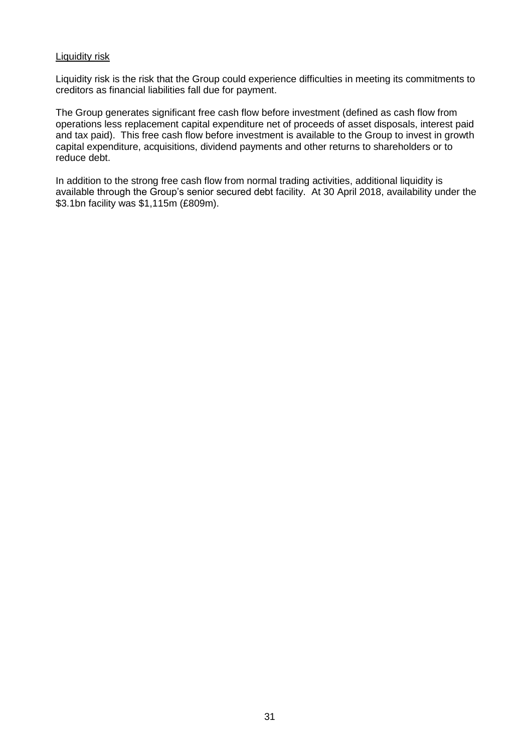### Liquidity risk

Liquidity risk is the risk that the Group could experience difficulties in meeting its commitments to creditors as financial liabilities fall due for payment.

The Group generates significant free cash flow before investment (defined as cash flow from operations less replacement capital expenditure net of proceeds of asset disposals, interest paid and tax paid). This free cash flow before investment is available to the Group to invest in growth capital expenditure, acquisitions, dividend payments and other returns to shareholders or to reduce debt.

In addition to the strong free cash flow from normal trading activities, additional liquidity is available through the Group's senior secured debt facility. At 30 April 2018, availability under the \$3.1bn facility was \$1,115m (£809m).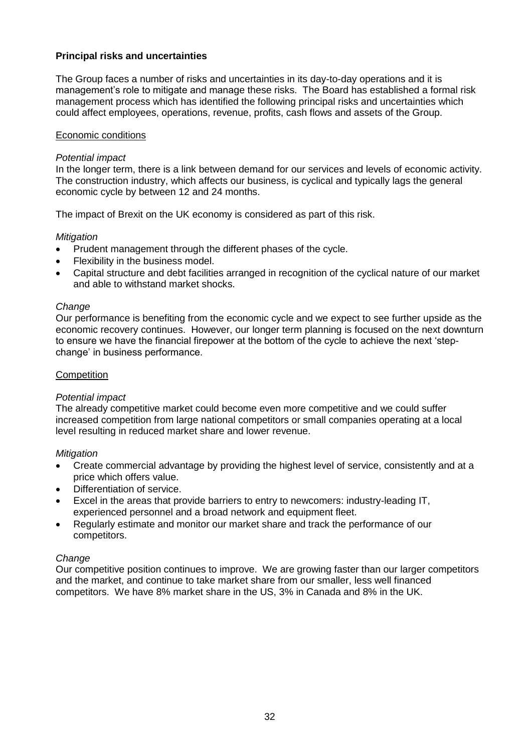# **Principal risks and uncertainties**

The Group faces a number of risks and uncertainties in its day-to-day operations and it is management's role to mitigate and manage these risks. The Board has established a formal risk management process which has identified the following principal risks and uncertainties which could affect employees, operations, revenue, profits, cash flows and assets of the Group.

### Economic conditions

### *Potential impact*

In the longer term, there is a link between demand for our services and levels of economic activity. The construction industry, which affects our business, is cyclical and typically lags the general economic cycle by between 12 and 24 months.

The impact of Brexit on the UK economy is considered as part of this risk.

### *Mitigation*

- Prudent management through the different phases of the cycle.
- Flexibility in the business model.
- Capital structure and debt facilities arranged in recognition of the cyclical nature of our market and able to withstand market shocks.

#### *Change*

Our performance is benefiting from the economic cycle and we expect to see further upside as the economic recovery continues. However, our longer term planning is focused on the next downturn to ensure we have the financial firepower at the bottom of the cycle to achieve the next 'stepchange' in business performance.

### **Competition**

#### *Potential impact*

The already competitive market could become even more competitive and we could suffer increased competition from large national competitors or small companies operating at a local level resulting in reduced market share and lower revenue.

#### *Mitigation*

- Create commercial advantage by providing the highest level of service, consistently and at a price which offers value.
- Differentiation of service.
- Excel in the areas that provide barriers to entry to newcomers: industry-leading IT, experienced personnel and a broad network and equipment fleet.
- Regularly estimate and monitor our market share and track the performance of our competitors.

#### *Change*

Our competitive position continues to improve. We are growing faster than our larger competitors and the market, and continue to take market share from our smaller, less well financed competitors. We have 8% market share in the US, 3% in Canada and 8% in the UK.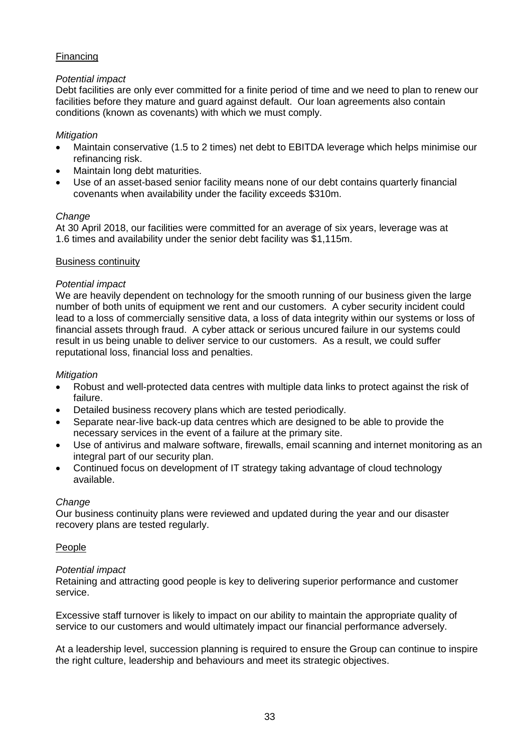# Financing

# *Potential impact*

Debt facilities are only ever committed for a finite period of time and we need to plan to renew our facilities before they mature and guard against default. Our loan agreements also contain conditions (known as covenants) with which we must comply.

# *Mitigation*

- Maintain conservative (1.5 to 2 times) net debt to EBITDA leverage which helps minimise our refinancing risk.
- Maintain long debt maturities.
- Use of an asset-based senior facility means none of our debt contains quarterly financial covenants when availability under the facility exceeds \$310m.

# *Change*

At 30 April 2018, our facilities were committed for an average of six years, leverage was at 1.6 times and availability under the senior debt facility was \$1,115m.

# Business continuity

# *Potential impact*

We are heavily dependent on technology for the smooth running of our business given the large number of both units of equipment we rent and our customers. A cyber security incident could lead to a loss of commercially sensitive data, a loss of data integrity within our systems or loss of financial assets through fraud. A cyber attack or serious uncured failure in our systems could result in us being unable to deliver service to our customers. As a result, we could suffer reputational loss, financial loss and penalties.

# *Mitigation*

- Robust and well-protected data centres with multiple data links to protect against the risk of failure.
- Detailed business recovery plans which are tested periodically.
- Separate near-live back-up data centres which are designed to be able to provide the necessary services in the event of a failure at the primary site.
- Use of antivirus and malware software, firewalls, email scanning and internet monitoring as an integral part of our security plan.
- Continued focus on development of IT strategy taking advantage of cloud technology available.

# *Change*

Our business continuity plans were reviewed and updated during the year and our disaster recovery plans are tested regularly.

# People

# *Potential impact*

Retaining and attracting good people is key to delivering superior performance and customer service.

Excessive staff turnover is likely to impact on our ability to maintain the appropriate quality of service to our customers and would ultimately impact our financial performance adversely.

At a leadership level, succession planning is required to ensure the Group can continue to inspire the right culture, leadership and behaviours and meet its strategic objectives.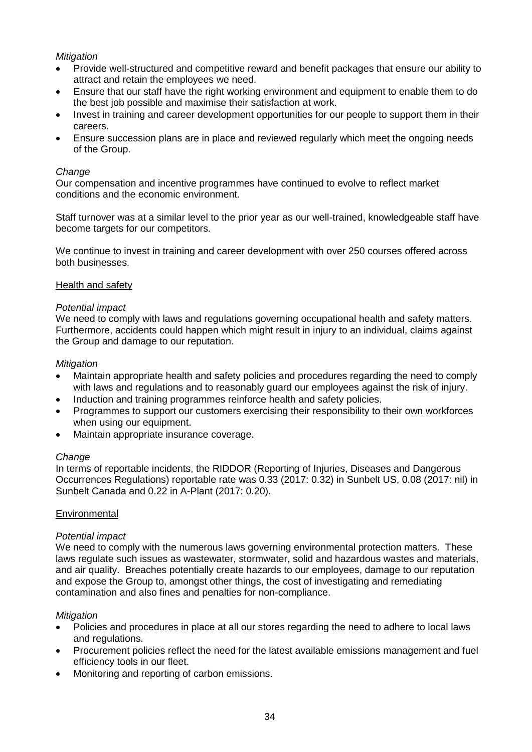# *Mitigation*

- Provide well-structured and competitive reward and benefit packages that ensure our ability to attract and retain the employees we need.
- Ensure that our staff have the right working environment and equipment to enable them to do the best job possible and maximise their satisfaction at work.
- Invest in training and career development opportunities for our people to support them in their careers.
- Ensure succession plans are in place and reviewed regularly which meet the ongoing needs of the Group.

### *Change*

Our compensation and incentive programmes have continued to evolve to reflect market conditions and the economic environment.

Staff turnover was at a similar level to the prior year as our well-trained, knowledgeable staff have become targets for our competitors.

We continue to invest in training and career development with over 250 courses offered across both businesses.

### Health and safety

### *Potential impact*

We need to comply with laws and regulations governing occupational health and safety matters. Furthermore, accidents could happen which might result in injury to an individual, claims against the Group and damage to our reputation.

### *Mitigation*

- Maintain appropriate health and safety policies and procedures regarding the need to comply with laws and regulations and to reasonably guard our employees against the risk of injury.
- Induction and training programmes reinforce health and safety policies.
- Programmes to support our customers exercising their responsibility to their own workforces when using our equipment.
- Maintain appropriate insurance coverage.

#### *Change*

In terms of reportable incidents, the RIDDOR (Reporting of Injuries, Diseases and Dangerous Occurrences Regulations) reportable rate was 0.33 (2017: 0.32) in Sunbelt US, 0.08 (2017: nil) in Sunbelt Canada and 0.22 in A-Plant (2017: 0.20).

# **Environmental**

#### *Potential impact*

We need to comply with the numerous laws governing environmental protection matters. These laws regulate such issues as wastewater, stormwater, solid and hazardous wastes and materials, and air quality. Breaches potentially create hazards to our employees, damage to our reputation and expose the Group to, amongst other things, the cost of investigating and remediating contamination and also fines and penalties for non-compliance.

#### *Mitigation*

- Policies and procedures in place at all our stores regarding the need to adhere to local laws and regulations.
- Procurement policies reflect the need for the latest available emissions management and fuel efficiency tools in our fleet.
- Monitoring and reporting of carbon emissions.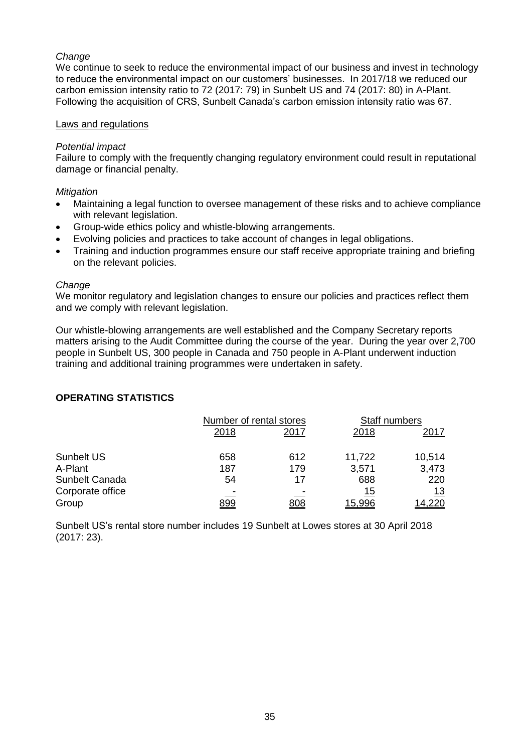# *Change*

We continue to seek to reduce the environmental impact of our business and invest in technology to reduce the environmental impact on our customers' businesses. In 2017/18 we reduced our carbon emission intensity ratio to 72 (2017: 79) in Sunbelt US and 74 (2017: 80) in A-Plant. Following the acquisition of CRS, Sunbelt Canada's carbon emission intensity ratio was 67.

### Laws and regulations

### *Potential impact*

Failure to comply with the frequently changing regulatory environment could result in reputational damage or financial penalty.

### *Mitigation*

- Maintaining a legal function to oversee management of these risks and to achieve compliance with relevant legislation.
- Group-wide ethics policy and whistle-blowing arrangements.
- Evolving policies and practices to take account of changes in legal obligations.
- Training and induction programmes ensure our staff receive appropriate training and briefing on the relevant policies.

#### *Change*

We monitor regulatory and legislation changes to ensure our policies and practices reflect them and we comply with relevant legislation.

Our whistle-blowing arrangements are well established and the Company Secretary reports matters arising to the Audit Committee during the course of the year. During the year over 2,700 people in Sunbelt US, 300 people in Canada and 750 people in A-Plant underwent induction training and additional training programmes were undertaken in safety.

# **OPERATING STATISTICS**

|                  |      | Number of rental stores |            | Staff numbers |
|------------------|------|-------------------------|------------|---------------|
|                  | 2018 | 2017                    | 2018       | 2017          |
| Sunbelt US       | 658  | 612                     | 11,722     | 10,514        |
| A-Plant          | 187  | 179                     | 3,571      | 3,473         |
| Sunbelt Canada   | 54   | 17                      | 688        | 220           |
| Corporate office |      |                         | <u> 15</u> | <u>13</u>     |
| Group            | 899  | <u>808</u>              | 15.996     | 14.220        |

Sunbelt US's rental store number includes 19 Sunbelt at Lowes stores at 30 April 2018 (2017: 23).